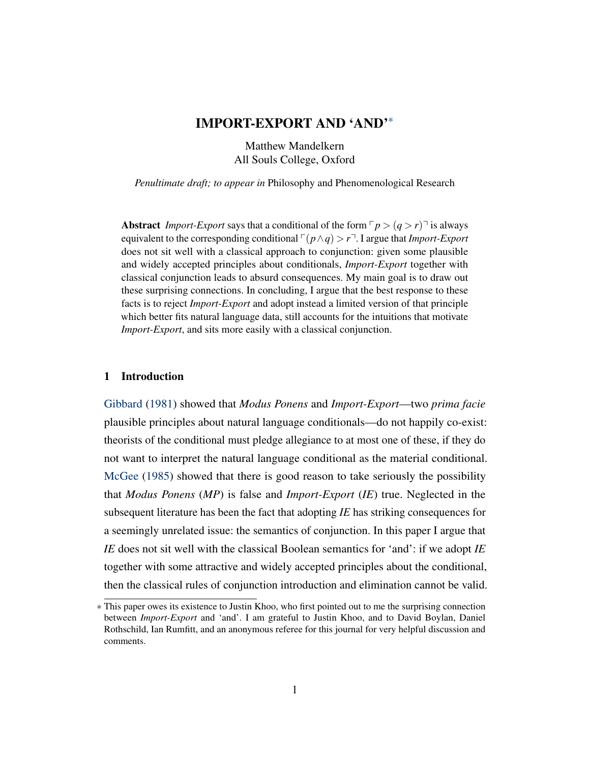# IMPORT-EXPORT AND 'AND'\*

Matthew Mandelkern All Souls College, Oxford

<span id="page-0-0"></span>*Penultimate draft; to appear in* Philosophy and Phenomenological Research

Abstract *Import-Export* says that a conditional of the form  $\lceil p \rceil$  *q > r* $\lceil \rceil$  is always equivalent to the corresponding conditional  $\lceil (p \land q) \rceil$ . I argue that *Import-Export* does not sit well with a classical approach to conjunction: given some plausible and widely accepted principles about conditionals, *Import-Export* together with classical conjunction leads to absurd consequences. My main goal is to draw out these surprising connections. In concluding, I argue that the best response to these facts is to reject *Import-Export* and adopt instead a limited version of that principle which better fits natural language data, still accounts for the intuitions that motivate *Import-Export*, and sits more easily with a classical conjunction.

#### 1 Introduction

[Gibbard](#page-25-0) [\(1981\)](#page-25-0) showed that *Modus Ponens* and *Import-Export*—two *prima facie* plausible principles about natural language conditionals—do not happily co-exist: theorists of the conditional must pledge allegiance to at most one of these, if they do not want to interpret the natural language conditional as the material conditional. [McGee](#page-25-1) [\(1985\)](#page-25-1) showed that there is good reason to take seriously the possibility that *Modus Ponens* (*MP*) is false and *Import-Export* (*IE*) true. Neglected in the subsequent literature has been the fact that adopting *IE* has striking consequences for a seemingly unrelated issue: the semantics of conjunction. In this paper I argue that *IE* does not sit well with the classical Boolean semantics for 'and': if we adopt *IE* together with some attractive and widely accepted principles about the conditional, then the classical rules of conjunction introduction and elimination cannot be valid.

<sup>\*</sup> This paper owes its existence to Justin Khoo, who first pointed out to me the surprising connection between *Import-Export* and 'and'. I am grateful to Justin Khoo, and to David Boylan, Daniel Rothschild, Ian Rumfitt, and an anonymous referee for this journal for very helpful discussion and comments.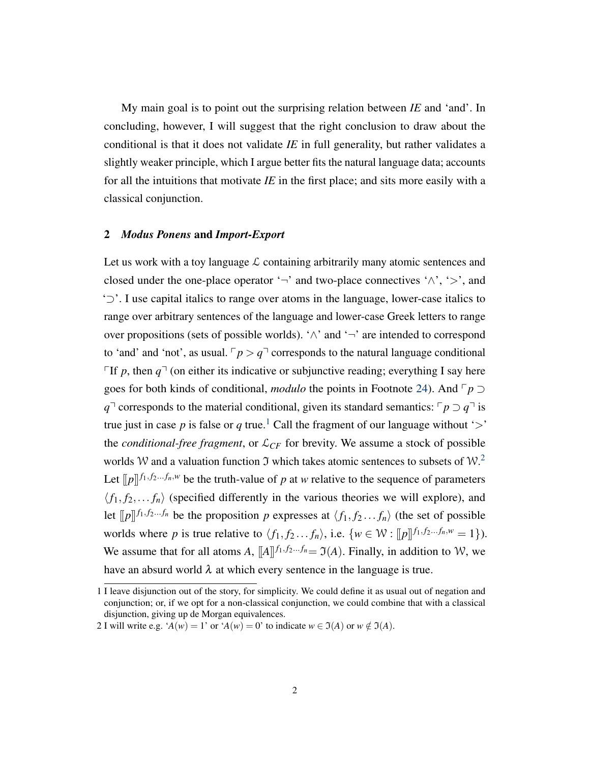My main goal is to point out the surprising relation between *IE* and 'and'. In concluding, however, I will suggest that the right conclusion to draw about the conditional is that it does not validate *IE* in full generality, but rather validates a slightly weaker principle, which I argue better fits the natural language data; accounts for all the intuitions that motivate *IE* in the first place; and sits more easily with a classical conjunction.

### 2 *Modus Ponens* and *Import-Export*

Let us work with a toy language  $\mathcal L$  containing arbitrarily many atomic sentences and closed under the one-place operator ' $\neg$ ' and two-place connectives ' $\wedge$ ', ' $>$ ', and '⊃'. I use capital italics to range over atoms in the language, lower-case italics to range over arbitrary sentences of the language and lower-case Greek letters to range over propositions (sets of possible worlds). ' $\wedge$ ' and ' $\neg$ ' are intended to correspond to 'and' and 'not', as usual.  $\lceil p \rceil q$ <sup> $\lceil$ </sup> corresponds to the natural language conditional If p, then  $q<sup>l</sup>$  (on either its indicative or subjunctive reading; everything I say here goes for both kinds of conditional, *modulo* the points in Footnote [24\)](#page-19-0). And  $\ulcorner p \urcorner$ *q*<sup>→</sup> corresponds to the material conditional, given its standard semantics:  $\lceil p \rceil q \rceil$  is true just in case p is false or q true.<sup>[1](#page-0-0)</sup> Call the fragment of our language without '>' the *conditional-free fragment*, or  $\mathcal{L}_{CF}$  for brevity. We assume a stock of possible worlds W and a valuation function  $\Im$  which takes atomic sentences to subsets of W.<sup>[2](#page-0-0)</sup> Let  $[\![p]\!]^{f_1, f_2...f_n, w}$  be the truth-value of *p* at *w* relative to the sequence of parameters  $\langle f_1, f_2,..., f_n \rangle$  (specified differently in the various theories we will explore), and let  $[$ [*p*]]  $f_1, f_2, \ldots, f_n$  be the proposition *p* expresses at  $\langle f_1, f_2, \ldots, f_n \rangle$  (the set of possible worlds where *p* is true relative to  $\langle f_1, f_2, \ldots, f_n \rangle$ , i.e.  $\{w \in \mathcal{W} : [[p]]^{f_1, f_2, \ldots, f_n, w} = 1\}$ ). We assume that for all atoms *A*,  $[[A]]^{f_1, f_2...f_n} = \mathfrak{I}(A)$ . Finally, in addition to W, we have an absurd world  $\lambda$  at which every sentence in the language is true.

<sup>1</sup> I leave disjunction out of the story, for simplicity. We could define it as usual out of negation and conjunction; or, if we opt for a non-classical conjunction, we could combine that with a classical disjunction, giving up de Morgan equivalences.

<sup>2</sup> I will write e.g. ' $A(w) = 1$ ' or ' $A(w) = 0$ ' to indicate  $w \in \mathfrak{I}(A)$  or  $w \notin \mathfrak{I}(A)$ .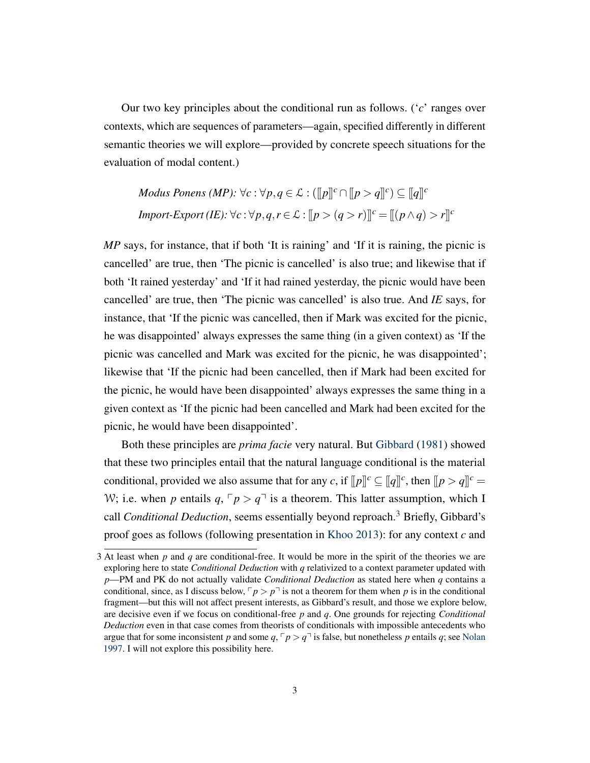Our two key principles about the conditional run as follows. ('*c*' ranges over contexts, which are sequences of parameters—again, specified differently in different semantic theories we will explore—provided by concrete speech situations for the evaluation of modal content.)

*Modus Ponens (MP):* 
$$
\forall c : \forall p, q \in \mathcal{L} : (\llbracket p \rrbracket^c \cap \llbracket p > q \rrbracket^c) \subseteq \llbracket q \rrbracket^c
$$
  
*Import-Export (IE):*  $\forall c : \forall p, q, r \in \mathcal{L} : \llbracket p > (q > r) \rrbracket^c = \llbracket (p \land q) > r \rrbracket^c$ 

*MP* says, for instance, that if both 'It is raining' and 'If it is raining, the picnic is cancelled' are true, then 'The picnic is cancelled' is also true; and likewise that if both 'It rained yesterday' and 'If it had rained yesterday, the picnic would have been cancelled' are true, then 'The picnic was cancelled' is also true. And *IE* says, for instance, that 'If the picnic was cancelled, then if Mark was excited for the picnic, he was disappointed' always expresses the same thing (in a given context) as 'If the picnic was cancelled and Mark was excited for the picnic, he was disappointed'; likewise that 'If the picnic had been cancelled, then if Mark had been excited for the picnic, he would have been disappointed' always expresses the same thing in a given context as 'If the picnic had been cancelled and Mark had been excited for the picnic, he would have been disappointed'.

Both these principles are *prima facie* very natural. But [Gibbard](#page-25-0) [\(1981\)](#page-25-0) showed that these two principles entail that the natural language conditional is the material conditional, provided we also assume that for any *c*, if  $[lp]^c \subseteq [q]^c$ , then  $[lp > q]^c =$ W; i.e. when *p* entails  $q, \lceil p \rceil q$  is a theorem. This latter assumption, which I call *Conditional Deduction*, seems essentially beyond reproach.<sup>[3](#page-0-0)</sup> Briefly, Gibbard's proof goes as follows (following presentation in [Khoo](#page-25-2) [2013\)](#page-25-2): for any context *c* and

<sup>3</sup> At least when *p* and *q* are conditional-free. It would be more in the spirit of the theories we are exploring here to state *Conditional Deduction* with *q* relativized to a context parameter updated with *p*—PM and PK do not actually validate *Conditional Deduction* as stated here when *q* contains a conditional, since, as I discuss below,  $\lceil p \rceil p$  is not a theorem for them when p is in the conditional fragment—but this will not affect present interests, as Gibbard's result, and those we explore below, are decisive even if we focus on conditional-free *p* and *q*. One grounds for rejecting *Conditional Deduction* even in that case comes from theorists of conditionals with impossible antecedents who argue that for some inconsistent *p* and some  $q, \lceil p \rceil q$  is false, but nonetheless *p* entails *q*; see [Nolan](#page-25-3) [1997.](#page-25-3) I will not explore this possibility here.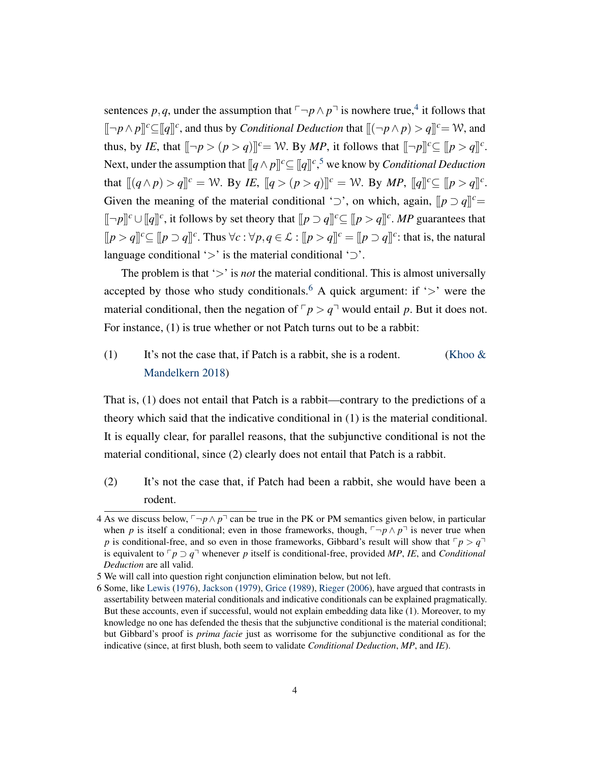sentences p, q, under the assumption that  $\ulcorner \neg p \wedge p \urcorner$  is nowhere true,<sup>[4](#page-0-0)</sup> it follows that  $[[-p \wedge p]]^c \subseteq [q]^c$ , and thus by *Conditional Deduction* that  $[(-p \wedge p) > q]^c = \mathcal{W}$ , and thus, by *IE*, that  $[\neg p > (p > q)]^c = W$ . By *MP*, it follows that  $[\neg p]^c \subseteq [p > q]^c$ . Next, under the assumption that  $[ q \wedge p ]^c \subseteq [q]^{c}$ , we know by *Conditional Deduction* that  $[[ (q \wedge p) > q] ]^c = \mathcal{W}$ . By *IE*,  $[[ q > (p > q) ] ]^c = \mathcal{W}$ . By *MP*,  $[[ q] ]^c \subseteq [[ p > q] ]^c$ . Given the meaning of the material conditional ' $\supset$ ', on which, again,  $[ p \supset q]$ <sup>c</sup>=  $[[-p]]^c \cup [q]^c$ , it follows by set theory that  $[ [p \supset q]^c \subseteq [p > q]^c$ . *MP* guarantees that  $[ [p > q]^{c} \subseteq [p \supset q]^{c}$ . Thus  $\forall c : \forall p, q \in \mathcal{L} : [p > q]^{c} = [p \supset q]^{c}$ : that is, the natural language conditional ' $>$ ' is the material conditional ' $\supset$ '.

The problem is that '>' is *not* the material conditional. This is almost universally accepted by those who study conditionals.<sup>[6](#page-0-0)</sup> A quick argument: if ' $>$ ' were the material conditional, then the negation of  $\nabla p > q^{\dagger}$  would entail p. But it does not. For instance, (1) is true whether or not Patch turns out to be a rabbit:

# (1) It's not the case that, if Patch is a rabbit, she is a rodent. (Khoo  $\&$ [Mandelkern](#page-25-4) [2018\)](#page-25-4)

That is, (1) does not entail that Patch is a rabbit—contrary to the predictions of a theory which said that the indicative conditional in (1) is the material conditional. It is equally clear, for parallel reasons, that the subjunctive conditional is not the material conditional, since (2) clearly does not entail that Patch is a rabbit.

(2) It's not the case that, if Patch had been a rabbit, she would have been a rodent.

<sup>4</sup> As we discuss below,  $\nabla p \wedge p$ <sup> $\Box$ </sup> can be true in the PK or PM semantics given below, in particular when *p* is itself a conditional; even in those frameworks, though,  $\neg p \wedge p \neg$  is never true when *p* is conditional-free, and so even in those frameworks, Gibbard's result will show that  $\lceil p \rceil$ is equivalent to  $\lceil p \rceil q$  whenever *p* itself is conditional-free, provided *MP*, *IE*, and *Conditional Deduction* are all valid.

<sup>5</sup> We will call into question right conjunction elimination below, but not left.

<sup>6</sup> Some, like [Lewis](#page-25-5) [\(1976\)](#page-25-5), [Jackson](#page-25-6) [\(1979\)](#page-25-6), [Grice](#page-25-7) [\(1989\)](#page-25-7), [Rieger](#page-25-8) [\(2006\)](#page-25-8), have argued that contrasts in assertability between material conditionals and indicative conditionals can be explained pragmatically. But these accounts, even if successful, would not explain embedding data like (1). Moreover, to my knowledge no one has defended the thesis that the subjunctive conditional is the material conditional; but Gibbard's proof is *prima facie* just as worrisome for the subjunctive conditional as for the indicative (since, at first blush, both seem to validate *Conditional Deduction*, *MP*, and *IE*).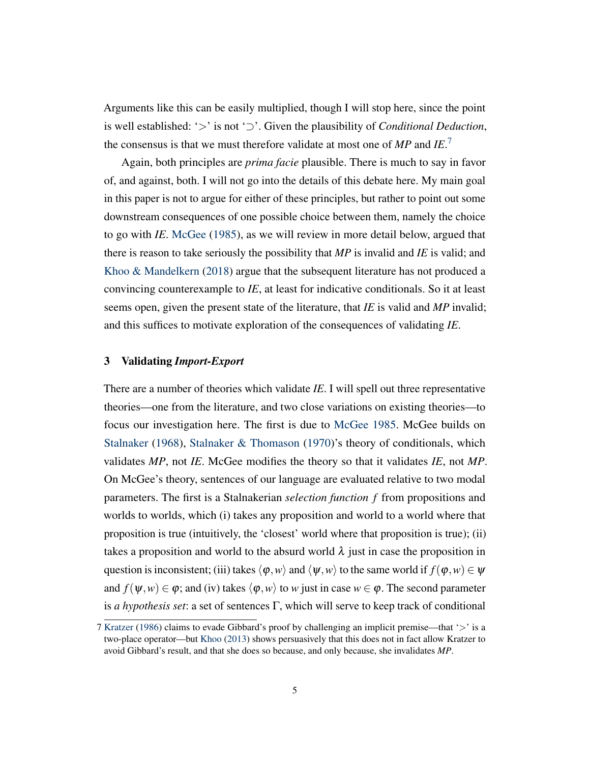Arguments like this can be easily multiplied, though I will stop here, since the point is well established: '>' is not '⊃'. Given the plausibility of *Conditional Deduction*, the consensus is that we must therefore validate at most one of *MP* and *IE*. [7](#page-0-0)

Again, both principles are *prima facie* plausible. There is much to say in favor of, and against, both. I will not go into the details of this debate here. My main goal in this paper is not to argue for either of these principles, but rather to point out some downstream consequences of one possible choice between them, namely the choice to go with *IE*. [McGee](#page-25-1) [\(1985\)](#page-25-1), as we will review in more detail below, argued that there is reason to take seriously the possibility that *MP* is invalid and *IE* is valid; and [Khoo & Mandelkern](#page-25-4) [\(2018\)](#page-25-4) argue that the subsequent literature has not produced a convincing counterexample to *IE*, at least for indicative conditionals. So it at least seems open, given the present state of the literature, that *IE* is valid and *MP* invalid; and this suffices to motivate exploration of the consequences of validating *IE*.

### 3 Validating *Import-Export*

There are a number of theories which validate *IE*. I will spell out three representative theories—one from the literature, and two close variations on existing theories—to focus our investigation here. The first is due to [McGee](#page-25-1) [1985.](#page-25-1) McGee builds on [Stalnaker](#page-25-9) [\(1968\)](#page-25-9), [Stalnaker & Thomason](#page-26-0) [\(1970\)](#page-26-0)'s theory of conditionals, which validates *MP*, not *IE*. McGee modifies the theory so that it validates *IE*, not *MP*. On McGee's theory, sentences of our language are evaluated relative to two modal parameters. The first is a Stalnakerian *selection function f* from propositions and worlds to worlds, which (i) takes any proposition and world to a world where that proposition is true (intuitively, the 'closest' world where that proposition is true); (ii) takes a proposition and world to the absurd world  $\lambda$  just in case the proposition in question is inconsistent; (iii) takes  $\langle \varphi, w \rangle$  and  $\langle \psi, w \rangle$  to the same world if  $f(\varphi, w) \in \psi$ and  $f(\psi, w) \in \varphi$ ; and (iv) takes  $\langle \varphi, w \rangle$  to *w* just in case  $w \in \varphi$ . The second parameter is *a hypothesis set*: a set of sentences  $\Gamma$ , which will serve to keep track of conditional

<sup>7</sup> [Kratzer](#page-25-10) [\(1986\)](#page-25-10) claims to evade Gibbard's proof by challenging an implicit premise—that '>' is a two-place operator—but [Khoo](#page-25-2) [\(2013\)](#page-25-2) shows persuasively that this does not in fact allow Kratzer to avoid Gibbard's result, and that she does so because, and only because, she invalidates *MP*.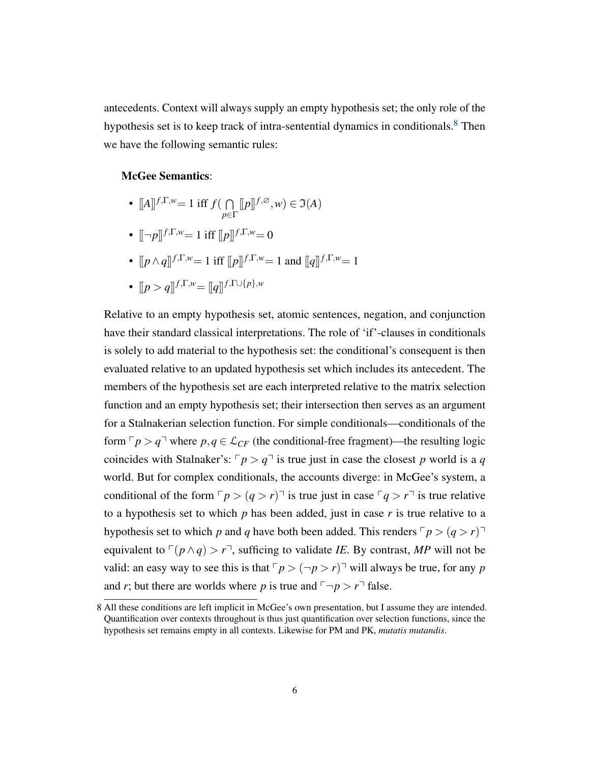antecedents. Context will always supply an empty hypothesis set; the only role of the hypothesis set is to keep track of intra-sentential dynamics in conditionals.<sup>[8](#page-0-0)</sup> Then we have the following semantic rules:

### McGee Semantics:

- $[A]$ <sup> $f, \Gamma, w$ </sup> = 1 iff  $f(\bigcap$ *p*∈Γ  $[ [p]$  $[f, \varnothing, w) \in \mathfrak{I}(A)$
- $[-p]$ <sup> $f, \Gamma, w = 1$ </sup> iff  $[ [p]$  $]$  $f, \Gamma, w = 0$
- $[ p \wedge q]^{f, \Gamma, w} = 1$  iff  $[ p ]^{f, \Gamma, w} = 1$  and  $[ q ]^{f, \Gamma, w} = 1$
- $[ p > q ]$  $f, \Gamma, w = [ q ]$  $f, \Gamma \cup \{ p \}, w$

Relative to an empty hypothesis set, atomic sentences, negation, and conjunction have their standard classical interpretations. The role of 'if'-clauses in conditionals is solely to add material to the hypothesis set: the conditional's consequent is then evaluated relative to an updated hypothesis set which includes its antecedent. The members of the hypothesis set are each interpreted relative to the matrix selection function and an empty hypothesis set; their intersection then serves as an argument for a Stalnakerian selection function. For simple conditionals—conditionals of the form  $\nabla p > q$ <sup> $\Box$ </sup> where  $p, q \in \mathcal{L}_{CF}$  (the conditional-free fragment)—the resulting logic coincides with Stalnaker's:  $\lceil p \rceil q$  is true just in case the closest *p* world is a *q* world. But for complex conditionals, the accounts diverge: in McGee's system, a conditional of the form  $\lceil p \rceil (q > r)$  is true just in case  $\lceil q \rceil r$  is true relative to a hypothesis set to which *p* has been added, just in case *r* is true relative to a hypothesis set to which *p* and *q* have both been added. This renders  $\lceil p \rceil$   $\left( q > r \right)$ equivalent to  $\lceil (p \land q) \rceil$ , sufficing to validate *IE*. By contrast, *MP* will not be valid: an easy way to see this is that  $\lceil p \rceil$   $\sim$   $(\lnot p > r)$ <sup> $\lnot$ </sup> will always be true, for any *p* and *r*; but there are worlds where *p* is true and  $\neg p > r \exists$  false.

<sup>8</sup> All these conditions are left implicit in McGee's own presentation, but I assume they are intended. Quantification over contexts throughout is thus just quantification over selection functions, since the hypothesis set remains empty in all contexts. Likewise for PM and PK, *mutatis mutandis*.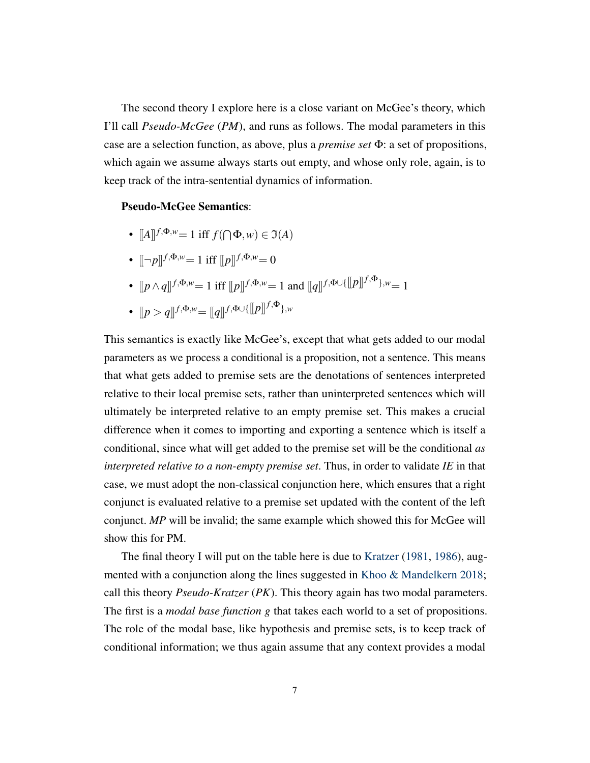The second theory I explore here is a close variant on McGee's theory, which I'll call *Pseudo-McGee* (*PM*), and runs as follows. The modal parameters in this case are a selection function, as above, plus a *premise set* Φ: a set of propositions, which again we assume always starts out empty, and whose only role, again, is to keep track of the intra-sentential dynamics of information.

# Pseudo-McGee Semantics:

- $[[A]]^{f, \Phi, w} = 1$  iff  $f(\bigcap \Phi, w) \in \Im(A)$
- $[-p]^{f, \Phi, w} = 1$  iff  $[p]^{f, \Phi, w} = 0$
- $[ [p \wedge q]]^{f, \Phi, w} = 1$  iff  $[ [p]]^{f, \Phi, w} = 1$  and  $[ [q]]^{f, \Phi \cup \{ [p] \}^{f, \Phi} \}$ ,  $w = 1$
- [[*<sup>p</sup>* <sup>&</sup>gt; *<sup>q</sup>*]] *<sup>f</sup>*,Φ,*w*= [[*q*]] *<sup>f</sup>*,Φ∪{[[*p*]] *<sup>f</sup>*,Φ},*<sup>w</sup>*

This semantics is exactly like McGee's, except that what gets added to our modal parameters as we process a conditional is a proposition, not a sentence. This means that what gets added to premise sets are the denotations of sentences interpreted relative to their local premise sets, rather than uninterpreted sentences which will ultimately be interpreted relative to an empty premise set. This makes a crucial difference when it comes to importing and exporting a sentence which is itself a conditional, since what will get added to the premise set will be the conditional *as interpreted relative to a non-empty premise set*. Thus, in order to validate *IE* in that case, we must adopt the non-classical conjunction here, which ensures that a right conjunct is evaluated relative to a premise set updated with the content of the left conjunct. *MP* will be invalid; the same example which showed this for McGee will show this for PM.

The final theory I will put on the table here is due to [Kratzer](#page-25-11) [\(1981,](#page-25-11) [1986\)](#page-25-10), augmented with a conjunction along the lines suggested in [Khoo & Mandelkern](#page-25-4) [2018;](#page-25-4) call this theory *Pseudo-Kratzer* (*PK*). This theory again has two modal parameters. The first is a *modal base function g* that takes each world to a set of propositions. The role of the modal base, like hypothesis and premise sets, is to keep track of conditional information; we thus again assume that any context provides a modal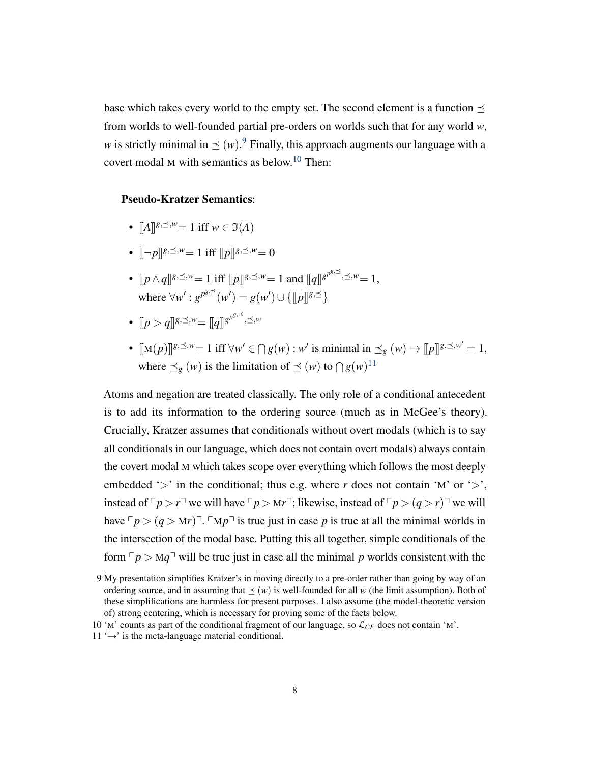base which takes every world to the empty set. The second element is a function  $\prec$ from worlds to well-founded partial pre-orders on worlds such that for any world *w*, *w* is strictly minimal in  $\preceq$  (*w*).<sup>[9](#page-0-0)</sup> Finally, this approach augments our language with a covert modal <sup>M</sup> with semantics as below.[10](#page-0-0) Then:

# Pseudo-Kratzer Semantics:

- $[[A]]^{g,\preceq,w} = 1$  iff  $w \in \mathfrak{I}(A)$
- $\lbrack \lbrack \neg p \rbrack \rbrack^{g,\preceq,w}=1$  iff  $\lbrack \lbrack p \rbrack \rbrack^{g,\preceq,w}=0$
- $[ p \wedge q ] \$ <sup>*g*,  $\preceq$ ,  $w = 1$  iff  $[ p ] \$ <sup>*g*</sup>,  $\preceq$ ,  $w = 1$  and  $[ q ] \$ <sup>*gpg*,  $\preceq$ ,  $w = 1$ ,</sup></sup> where  $\forall w' : g^{p^{g, \preceq}}(w') = g(w') \cup \{[[p]]^{g, \preceq}\}$
- $[ \lbrack p > q \rbrack ^{g, \preceq, w} = [ \lbrack q \rbrack ^{g^{p^{g, \preceq}}, \preceq, w}$
- $[\![\mathbf{M}(p)]\!]^{g,\preceq,w} = 1$  iff  $\forall w' \in \bigcap g(w) : w'$  is minimal in  $\preceq_g (w) \to [\![p]\!]^{g,\preceq,w'} = 1$ , where  $\preceq_g$  (*w*) is the limitation of  $\preceq$  (*w*) to  $\bigcap g(w)^{11}$  $\bigcap g(w)^{11}$  $\bigcap g(w)^{11}$

Atoms and negation are treated classically. The only role of a conditional antecedent is to add its information to the ordering source (much as in McGee's theory). Crucially, Kratzer assumes that conditionals without overt modals (which is to say all conditionals in our language, which does not contain overt modals) always contain the covert modal M which takes scope over everything which follows the most deeply embedded ' $>$ ' in the conditional; thus e.g. where *r* does not contain 'M' or ' $>$ ', instead of  $\lceil p \rceil r$  we will have  $\lceil p \rceil r$ ; likewise, instead of  $\lceil p \rceil (q > r)$  we will have  $\sqrt{p}$  >  $(q > Mr)^T$ .  $\sqrt{p}$  is true just in case *p* is true at all the minimal worlds in the intersection of the modal base. Putting this all together, simple conditionals of the form  $\nabla p > Mq$ <sup> $\neg$ </sup> will be true just in case all the minimal *p* worlds consistent with the

<sup>9</sup> My presentation simplifies Kratzer's in moving directly to a pre-order rather than going by way of an ordering source, and in assuming that  $\prec (w)$  is well-founded for all *w* (the limit assumption). Both of these simplifications are harmless for present purposes. I also assume (the model-theoretic version of) strong centering, which is necessary for proving some of the facts below.

<sup>10 &#</sup>x27;M' counts as part of the conditional fragment of our language, so  $\mathcal{L}_{CF}$  does not contain 'M'.

 $11 \rightarrow$  is the meta-language material conditional.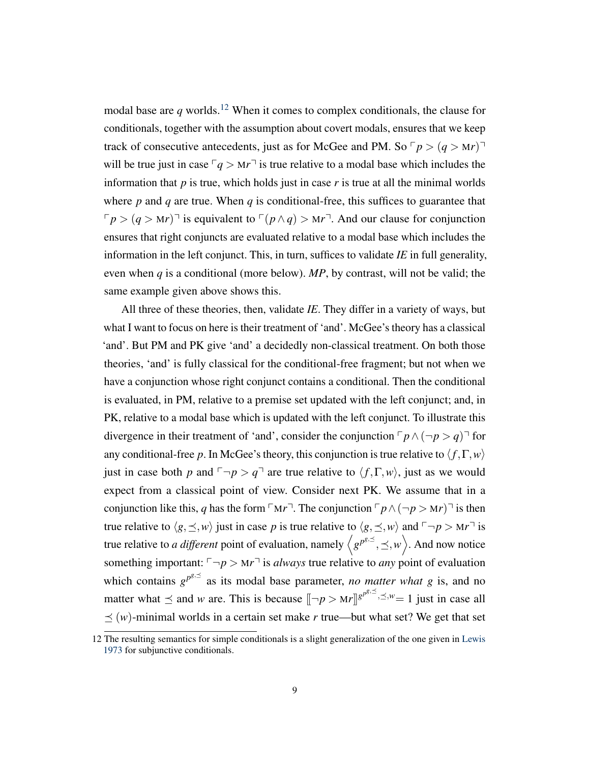modal base are  $q$  worlds.<sup>[12](#page-0-0)</sup> When it comes to complex conditionals, the clause for conditionals, together with the assumption about covert modals, ensures that we keep track of consecutive antecedents, just as for McGee and PM. So  $\lceil p \rceil (q > Mr)^{\dagger}$ will be true just in case  $\lceil q \rceil M^{\dagger}$  is true relative to a modal base which includes the information that  $p$  is true, which holds just in case  $r$  is true at all the minimal worlds where  $p$  and  $q$  are true. When  $q$  is conditional-free, this suffices to guarantee that  $\nabla p > (q > Mr)^{-1}$  is equivalent to  $\nabla (p \wedge q) > Mr^{-1}$ . And our clause for conjunction ensures that right conjuncts are evaluated relative to a modal base which includes the information in the left conjunct. This, in turn, suffices to validate *IE* in full generality, even when *q* is a conditional (more below). *MP*, by contrast, will not be valid; the same example given above shows this.

All three of these theories, then, validate *IE*. They differ in a variety of ways, but what I want to focus on here is their treatment of 'and'. McGee's theory has a classical 'and'. But PM and PK give 'and' a decidedly non-classical treatment. On both those theories, 'and' is fully classical for the conditional-free fragment; but not when we have a conjunction whose right conjunct contains a conditional. Then the conditional is evaluated, in PM, relative to a premise set updated with the left conjunct; and, in PK, relative to a modal base which is updated with the left conjunct. To illustrate this divergence in their treatment of 'and', consider the conjunction  $\lceil p \wedge (\lnot p > q) \rceil$  for any conditional-free *p*. In McGee's theory, this conjunction is true relative to  $\langle f, \Gamma, w \rangle$ just in case both *p* and  $\neg p > q$ <sup> $\neg$ </sup> are true relative to  $\langle f, \Gamma, w \rangle$ , just as we would expect from a classical point of view. Consider next PK. We assume that in a conjunction like this, *q* has the form  $\lceil M r \rceil$ . The conjunction  $\lceil p \wedge (\lnot p > Mr) \rceil$  is then true relative to  $\langle g, \preceq, w \rangle$  just in case *p* is true relative to  $\langle g, \preceq, w \rangle$  and  $\lceil \neg p \rceil$  is true relative to *a different* point of evaluation, namely  $\langle g^{p^{g,\preceq}}, \preceq, w \rangle$ . And now notice something important:  $\neg p > Mr^{\dagger}$  is *always* true relative to *any* point of evaluation which contains  $g^{p^{g,\preceq}}$  as its modal base parameter, *no matter what g* is, and no matter what  $\preceq$  and *w* are. This is because  $[\neg p > Mr]]^{g^{p^{g, \preceq}}, \preceq, w} = 1$  just in case all  $\leq$  (*w*)-minimal worlds in a certain set make *r* true—but what set? We get that set

<sup>12</sup> The resulting semantics for simple conditionals is a slight generalization of the one given in [Lewis](#page-25-12) [1973](#page-25-12) for subjunctive conditionals.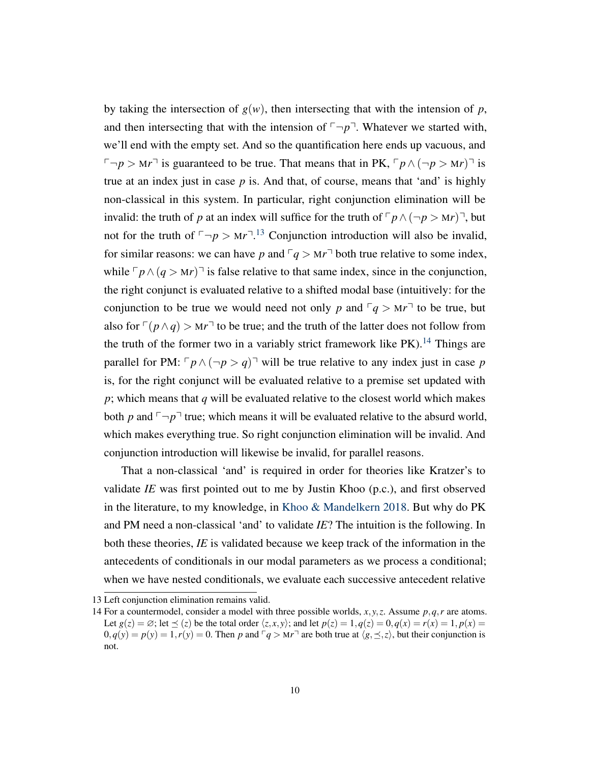by taking the intersection of  $g(w)$ , then intersecting that with the intension of *p*, and then intersecting that with the intension of  $\neg p$ <sup> $\neg$ </sup>. Whatever we started with, we'll end with the empty set. And so the quantification here ends up vacuous, and  $\Box p > Mr^{\Box}$  is guaranteed to be true. That means that in PK,  $\Box p \land (\neg p > Mr)^{\Box}$  is true at an index just in case *p* is. And that, of course, means that 'and' is highly non-classical in this system. In particular, right conjunction elimination will be invalid: the truth of *p* at an index will suffice for the truth of  $\lceil p \wedge (\lnot p > Mr) \rceil$ , but not for the truth of  $\neg p > Mr^{-13}$  $\neg p > Mr^{-13}$  $\neg p > Mr^{-13}$  Conjunction introduction will also be invalid, for similar reasons: we can have *p* and  $\lceil q \rceil$  both true relative to some index, while  $\lceil p \wedge (q \geq Mr) \rceil$  is false relative to that same index, since in the conjunction, the right conjunct is evaluated relative to a shifted modal base (intuitively: for the conjunction to be true we would need not only *p* and  $\lceil q \rceil$  to be true, but also for  $\lceil (p \wedge q) \rceil$  to be true; and the truth of the latter does not follow from the truth of the former two in a variably strict framework like  $PK$ ).<sup>[14](#page-0-0)</sup> Things are parallel for PM:  $\lceil p \wedge (\neg p \supset q) \rceil$  will be true relative to any index just in case *p* is, for the right conjunct will be evaluated relative to a premise set updated with *p*; which means that *q* will be evaluated relative to the closest world which makes both *p* and  $\neg p$ <sup> $\neg$ </sup> true; which means it will be evaluated relative to the absurd world, which makes everything true. So right conjunction elimination will be invalid. And conjunction introduction will likewise be invalid, for parallel reasons.

That a non-classical 'and' is required in order for theories like Kratzer's to validate *IE* was first pointed out to me by Justin Khoo (p.c.), and first observed in the literature, to my knowledge, in [Khoo & Mandelkern](#page-25-4) [2018.](#page-25-4) But why do PK and PM need a non-classical 'and' to validate *IE*? The intuition is the following. In both these theories, *IE* is validated because we keep track of the information in the antecedents of conditionals in our modal parameters as we process a conditional; when we have nested conditionals, we evaluate each successive antecedent relative

<sup>13</sup> Left conjunction elimination remains valid.

<sup>14</sup> For a countermodel, consider a model with three possible worlds, *x*, *y*,*z*. Assume *p*,*q*,*r* are atoms. Let  $g(z) = \emptyset$ ; let  $\leq (z)$  be the total order  $\langle z, x, y \rangle$ ; and let  $p(z) = 1, q(z) = 0, q(x) = r(x) = 1, p(x) = 1$  $0, q(y) = p(y) = 1, r(y) = 0$ . Then p and  $\lceil q \rceil > Mr \rceil$  are both true at  $\langle g, \preceq, \preceq \rangle$ , but their conjunction is not.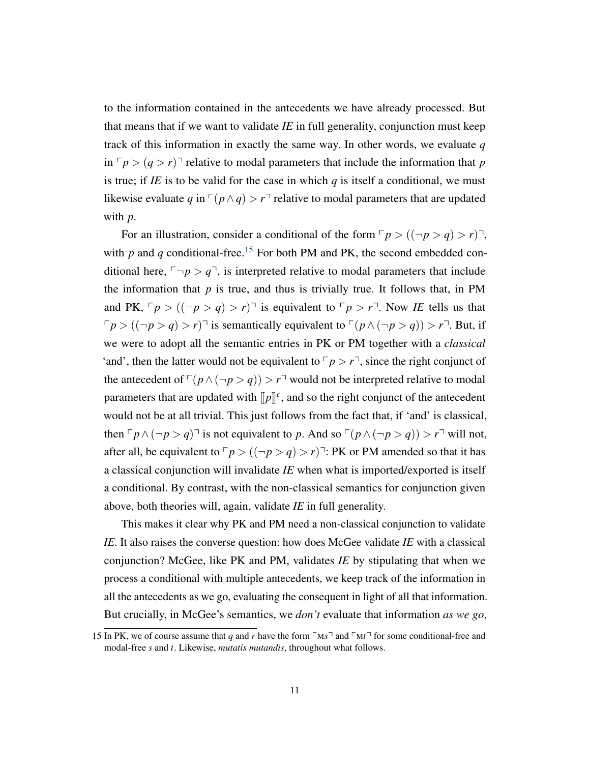to the information contained in the antecedents we have already processed. But that means that if we want to validate *IE* in full generality, conjunction must keep track of this information in exactly the same way. In other words, we evaluate *q* in  $\nabla p > (q > r)$ <sup> $\top$ </sup> relative to modal parameters that include the information that *p* is true; if *IE* is to be valid for the case in which  $q$  is itself a conditional, we must likewise evaluate *q* in  $\lceil (p \wedge q) \rceil$  relative to modal parameters that are updated with *p*.

For an illustration, consider a conditional of the form  $\lceil p \rceil$  ( $(\lnot p > q) > r$ )<sup> $\lnot$ </sup>, with  $p$  and  $q$  conditional-free.<sup>[15](#page-0-0)</sup> For both PM and PK, the second embedded conditional here,  $\neg p > q$ <sup> $\exists$ </sup>, is interpreted relative to modal parameters that include the information that  $p$  is true, and thus is trivially true. It follows that, in PM and PK,  $\lceil p \rceil$   $\left( (\neg p > q) > r \right)$  is equivalent to  $\lceil p > r \rceil$ . Now *IE* tells us that  $\lceil p \rceil (p \rceil - p \rceil - p)$  is semantically equivalent to  $\lceil (p \wedge (\lceil p \rceil - p \rceil - p) \rceil - p$ . But, if we were to adopt all the semantic entries in PK or PM together with a *classical* 'and', then the latter would not be equivalent to  $\lceil p \rceil$ , since the right conjunct of the antecedent of  $\lceil (p \wedge (\neg p > q)) \rceil$  would not be interpreted relative to modal parameters that are updated with  $[$ [ $p$ ]<sup> $c$ </sup>, and so the right conjunct of the antecedent would not be at all trivial. This just follows from the fact that, if 'and' is classical, then  $\lceil p \wedge (\lnot p > q) \rceil$  is not equivalent to *p*. And so  $\lceil (p \wedge (\lnot p > q)) \rceil$  will not, after all, be equivalent to  $\lceil p \rceil (|\lceil p \rceil q) > r \rceil$ . PK or PM amended so that it has a classical conjunction will invalidate *IE* when what is imported/exported is itself a conditional. By contrast, with the non-classical semantics for conjunction given above, both theories will, again, validate *IE* in full generality.

This makes it clear why PK and PM need a non-classical conjunction to validate *IE*. It also raises the converse question: how does McGee validate *IE* with a classical conjunction? McGee, like PK and PM, validates *IE* by stipulating that when we process a conditional with multiple antecedents, we keep track of the information in all the antecedents as we go, evaluating the consequent in light of all that information. But crucially, in McGee's semantics, we *don't* evaluate that information *as we go*,

<sup>15</sup> In PK, we of course assume that *q* and *r* have the form  $\lceil M \rceil$  and  $\lceil M \rceil$  for some conditional-free and modal-free *s* and *t*. Likewise, *mutatis mutandis*, throughout what follows.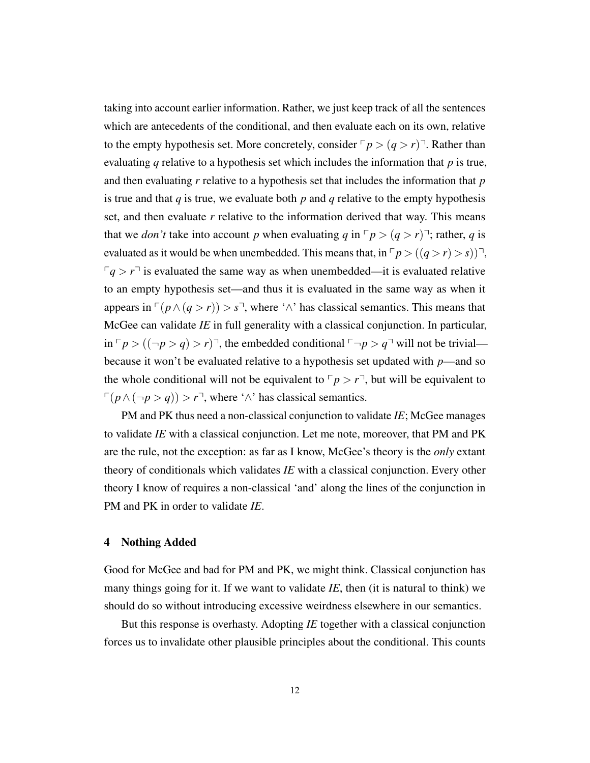taking into account earlier information. Rather, we just keep track of all the sentences which are antecedents of the conditional, and then evaluate each on its own, relative to the empty hypothesis set. More concretely, consider  $\lceil p \rceil (q > r)$ . Rather than evaluating *q* relative to a hypothesis set which includes the information that *p* is true, and then evaluating *r* relative to a hypothesis set that includes the information that *p* is true and that *q* is true, we evaluate both *p* and *q* relative to the empty hypothesis set, and then evaluate *r* relative to the information derived that way. This means that we *don't* take into account *p* when evaluating *q* in  $\lceil p \rceil$  (*q* > *r*) $\lceil \cdot \rceil$ ; rather, *q* is evaluated as it would be when unembedded. This means that, in  $\lceil p \rceil ((q > r) > s) \rceil$ ,  $\nabla q > r<sup>l</sup>$  is evaluated the same way as when unembedded—it is evaluated relative to an empty hypothesis set—and thus it is evaluated in the same way as when it appears in  $\lceil (p \land (q > r)) \rceil$ , where ' $\land$ ' has classical semantics. This means that McGee can validate *IE* in full generality with a classical conjunction. In particular, in  $\nabla p > ((\neg p > q) > r)$ , the embedded conditional  $\nabla \neg p > q$  will not be trivial because it won't be evaluated relative to a hypothesis set updated with *p*—and so the whole conditional will not be equivalent to  $\nabla p > r^{\dagger}$ , but will be equivalent to  $\lceil (p \wedge (\neg p > q)) \rceil$ , where ' $\wedge$ ' has classical semantics.

PM and PK thus need a non-classical conjunction to validate *IE*; McGee manages to validate *IE* with a classical conjunction. Let me note, moreover, that PM and PK are the rule, not the exception: as far as I know, McGee's theory is the *only* extant theory of conditionals which validates *IE* with a classical conjunction. Every other theory I know of requires a non-classical 'and' along the lines of the conjunction in PM and PK in order to validate *IE*.

# 4 Nothing Added

Good for McGee and bad for PM and PK, we might think. Classical conjunction has many things going for it. If we want to validate *IE*, then (it is natural to think) we should do so without introducing excessive weirdness elsewhere in our semantics.

But this response is overhasty. Adopting *IE* together with a classical conjunction forces us to invalidate other plausible principles about the conditional. This counts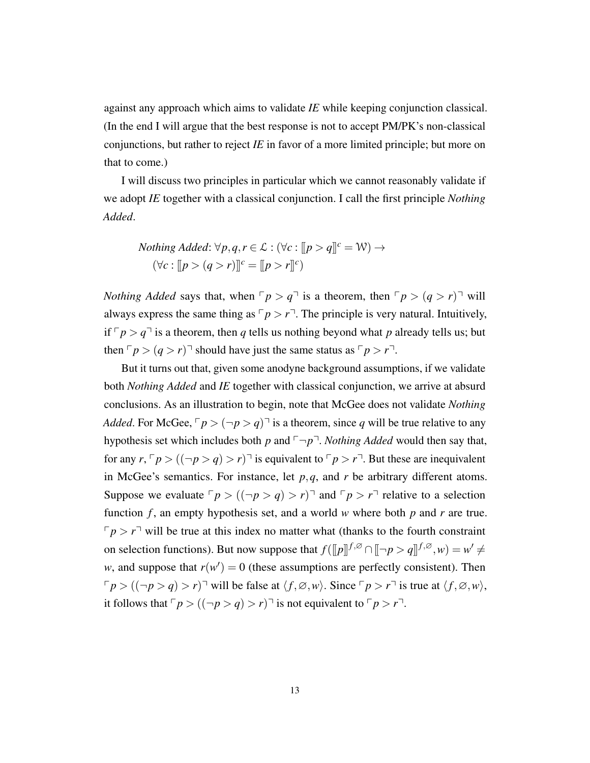against any approach which aims to validate *IE* while keeping conjunction classical. (In the end I will argue that the best response is not to accept PM/PK's non-classical conjunctions, but rather to reject *IE* in favor of a more limited principle; but more on that to come.)

I will discuss two principles in particular which we cannot reasonably validate if we adopt *IE* together with a classical conjunction. I call the first principle *Nothing Added*.

$$
Nothing \; Added: \forall p, q, r \in \mathcal{L}: (\forall c: [[p > q]]^{c} = \mathcal{W}) \rightarrow (\forall c: [[p > (q > r)]]^{c} = [[p > r]]^{c})
$$

*Nothing Added* says that, when  $\nabla p > q^{\dagger}$  is a theorem, then  $\nabla p > (q > r)^{\dagger}$  will always express the same thing as  $\lceil p \rceil$ . The principle is very natural. Intuitively, if  $\lceil p \rceil q$  is a theorem, then q tells us nothing beyond what p already tells us; but then  $\lceil p \rceil (q > r)$  should have just the same status as  $\lceil p \rceil r$ .

But it turns out that, given some anodyne background assumptions, if we validate both *Nothing Added* and *IE* together with classical conjunction, we arrive at absurd conclusions. As an illustration to begin, note that McGee does not validate *Nothing Added*. For McGee,  $\lceil p \rceil$   $\leq$   $\lceil \frac{p}{q} \rceil$  is a theorem, since *q* will be true relative to any hypothesis set which includes both *p* and  $\neg p$ <sup> $\neg$ </sup>. *Nothing Added* would then say that, for any  $r, \lceil p \rceil ((\lceil p \rceil \leq q) > r) \rceil$  is equivalent to  $\lceil p \rceil r$ . But these are inequivalent in McGee's semantics. For instance, let  $p, q$ , and  $r$  be arbitrary different atoms. Suppose we evaluate  $\lceil p \rceil (|\neg p \rceil q) > r \rceil$  and  $\lceil p \rceil r$  relative to a selection function *f* , an empty hypothesis set, and a world *w* where both *p* and *r* are true.  $\lceil p \rceil$  will be true at this index no matter what (thanks to the fourth constraint on selection functions). But now suppose that  $f(\llbracket p \rrbracket^{f, \varnothing} \cap \llbracket \neg p > q \rrbracket^{f, \varnothing}, w) = w' \neq 0$ *w*, and suppose that  $r(w') = 0$  (these assumptions are perfectly consistent). Then  $\lceil p \rceil (|\neg p \rceil \cdot q) > r$  vill be false at  $\langle f, \varnothing, w \rangle$ . Since  $\lceil p \rceil \cdot r$  is true at  $\langle f, \varnothing, w \rangle$ , it follows that  $\lceil p \rceil ((\lceil p \rceil q) > r) \rceil$  is not equivalent to  $\lceil p \rceil r$ .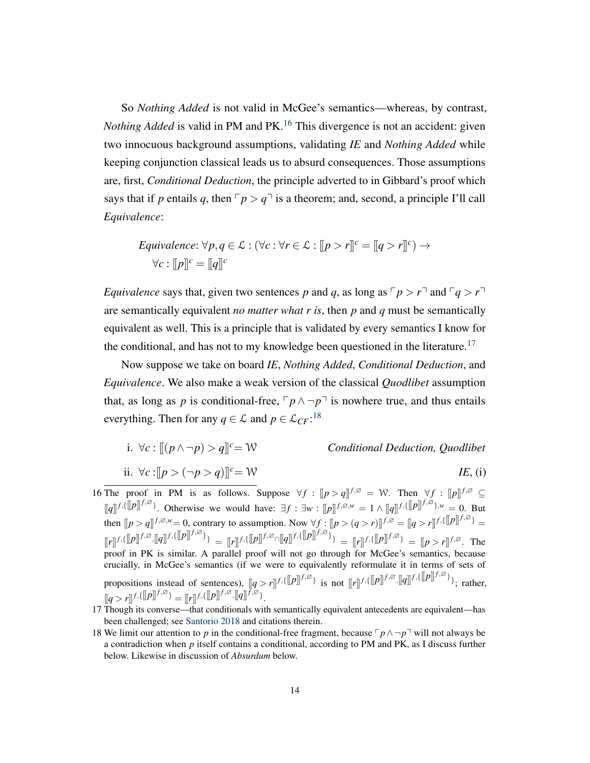So *Nothing Added* is not valid in McGee's semantics—whereas, by contrast, *Nothing Added* is valid in PM and PK.<sup>[16](#page-0-0)</sup> This divergence is not an accident: given two innocuous background assumptions, validating *IE* and *Nothing Added* while keeping conjunction classical leads us to absurd consequences. Those assumptions are, first, *Conditional Deduction*, the principle adverted to in Gibbard's proof which says that if *p* entails *q*, then  $\nabla p > q^{\dagger}$  is a theorem; and, second, a principle I'll call *Equivalence*:

$$
Equivalence: \forall p, q \in \mathcal{L}: (\forall c: \forall r \in \mathcal{L}: [[p > r]]^{c} = [[q > r]]^{c}) \rightarrow \forall c: [[p]]^{c} = [[q]]^{c}
$$

*Equivalence* says that, given two sentences *p* and *q*, as long as  $\lceil p \rceil$  and  $\lceil q \rceil$ are semantically equivalent *no matter what r is*, then *p* and *q* must be semantically equivalent as well. This is a principle that is validated by every semantics I know for the conditional, and has not to my knowledge been questioned in the literature.<sup>[17](#page-0-0)</sup>

Now suppose we take on board *IE*, *Nothing Added*, *Conditional Deduction*, and *Equivalence*. We also make a weak version of the classical *Quodlibet* assumption that, as long as *p* is conditional-free,  $\lceil p \wedge \neg p \rceil$  is nowhere true, and thus entails everything. Then for any  $q \in \mathcal{L}$  and  $p \in \mathcal{L}_{CF}$ :<sup>[18](#page-0-0)</sup>

- i.  $∀c : [(p ∧ ¬p) > q]$ <sup>c</sup>= *W Conditional Deduction, Quodlibet*
- ii. ∀*c* :  $[ |p > (¬p > q)] |<sup>c</sup> = W$  *IE*, (i)

16 The proof in PM is as follows. Suppose  $\forall f : [[p > q]]^{f, \varnothing} = \mathcal{W}$ . Then  $\forall f : [[p]]^{f, \varnothing} \subseteq$  $[[q]]^{f,[p]} \mathcal{F}^{[\mathcal{S}]}$ . Otherwise we would have:  $\exists f : \exists w : [[p]]^{f,\emptyset,w} = 1 \wedge [[q]]^{f,[p]} \mathcal{F}^{[\mathcal{S}]}$ ,  $w = 0$ . But then  $[ p > q ]$   $f, \varnothing, w = 0$ , contrary to assumption. Now  $\forall f : [ p > (q > r) ]$   $f, \varnothing = [ q > r ]$   $f, \{ [ p ]$   $f, \varnothing \}$  =  $[[r]]^{f, \{[[p]]^{f, \emptyset}, [[q]]^{f, \emptyset}\}} = [[r]]^{f, \{[[p]]^{f, \emptyset}\}} \left[[r]]^{f, \emptyset}\right]^{[[q]]^{f, \emptyset}} = [[r]]^{f, \{[[p]]^{f, \emptyset}\}} = [[p] \rightarrow r]]^{f, \emptyset}.$  The proof in PK is similar. A parallel proof will not go through for McGee's semantics, because crucially, in McGee's semantics (if we were to equivalently reformulate it in terms of sets of propositions instead of sentences),  $[ q > r ] ]^{f, \{ [p] \}^{f, \varnothing} \}}$  is not  $[ [r] ]^{f, \{ [p] \}^{f, \varnothing}, [ [q] ]^{f, \{ [p] \}^{f, \varnothing} \}}$ ; rather,  $[[q > r] \textsuperscript{f,\{[[p]]} \textsuperscript{f,\varnothing}\}} = [[r]] \textsuperscript{f,\{[[p]]} \textsuperscript{f,\varnothing}, [[q]] \textsuperscript{f,\varnothing}\}}.$ 

- 17 Though its converse—that conditionals with semantically equivalent antecedents are equivalent—has been challenged; see [Santorio](#page-25-13) [2018](#page-25-13) and citations therein.
- 18 We limit our attention to *p* in the conditional-free fragment, because  $\lceil p \wedge \neg p \rceil$  will not always be a contradiction when *p* itself contains a conditional, according to PM and PK, as I discuss further below. Likewise in discussion of *Absurdum* below.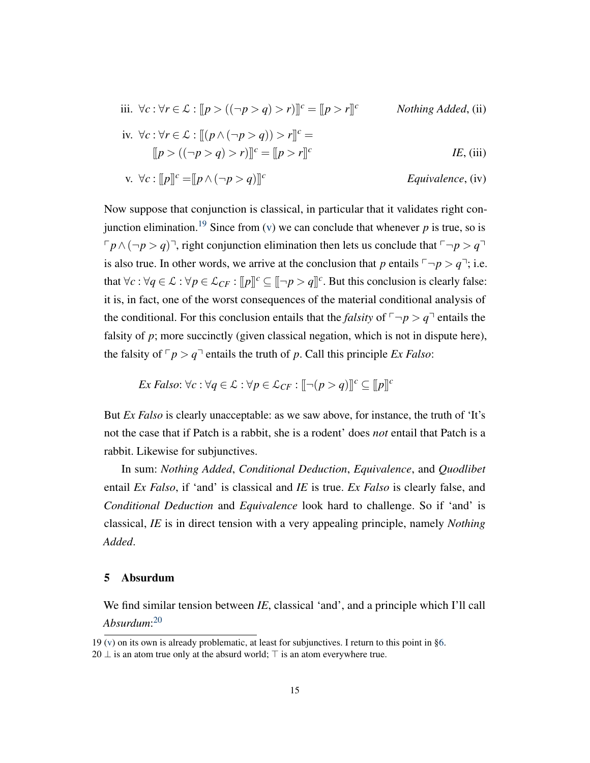<span id="page-14-1"></span>iii. 
$$
\forall c : \forall r \in \mathcal{L} : [p > ((\neg p > q) > r)]]^c = [p > r]^c
$$
  
\niv.  $\forall c : \forall r \in \mathcal{L} : [(p \land (\neg p > q)) > r]^c =$   
\n
$$
[[p > ((\neg p > q) > r)]]^c = [[p > r]^c
$$
\n*IE*, (iii)

<span id="page-14-0"></span>v. 
$$
\forall c : [[p]]^c = [[p \land (\neg p > q)]]^c
$$
 *Equivalence*, (iv)

Now suppose that conjunction is classical, in particular that it validates right con-junction elimination.<sup>[19](#page-0-0)</sup> Since from [\(v\)](#page-14-0) we can conclude that whenever  $p$  is true, so is  $\lceil p \wedge (\neg p > q) \rceil$ , right conjunction elimination then lets us conclude that  $\lceil \neg p > q \rceil$ is also true. In other words, we arrive at the conclusion that *p* entails  $\lceil \neg p \rceil$ ; i.e. that  $\forall c : \forall q \in \mathcal{L} : \forall p \in \mathcal{L}_{CF} : [p]^c \subseteq [\neg p > q]^c$ . But this conclusion is clearly false: it is, in fact, one of the worst consequences of the material conditional analysis of the conditional. For this conclusion entails that the *falsity* of  $\lceil \neg p \rceil$  entails the falsity of  $p$ ; more succinctly (given classical negation, which is not in dispute here), the falsity of  $\nabla p > q$ <sup> $\neg$ </sup> entails the truth of *p*. Call this principle *Ex Falso*:

$$
Ex \; False: \forall c: \forall q \in \mathcal{L} : \forall p \in \mathcal{L}_{CF} : [[\neg(p > q)]]^{c} \subseteq [[p]]^{c}
$$

But *Ex Falso* is clearly unacceptable: as we saw above, for instance, the truth of 'It's not the case that if Patch is a rabbit, she is a rodent' does *not* entail that Patch is a rabbit. Likewise for subjunctives.

In sum: *Nothing Added*, *Conditional Deduction*, *Equivalence*, and *Quodlibet* entail *Ex Falso*, if 'and' is classical and *IE* is true. *Ex Falso* is clearly false, and *Conditional Deduction* and *Equivalence* look hard to challenge. So if 'and' is classical, *IE* is in direct tension with a very appealing principle, namely *Nothing Added*.

#### 5 Absurdum

We find similar tension between *IE*, classical 'and', and a principle which I'll call *Absurdum*: [20](#page-0-0)

<sup>19</sup> [\(v\)](#page-14-0) on its own is already problematic, at least for subjunctives. I return to this point in [§6.](#page-17-0)

 $20 \perp$  is an atom true only at the absurd world;  $\top$  is an atom everywhere true.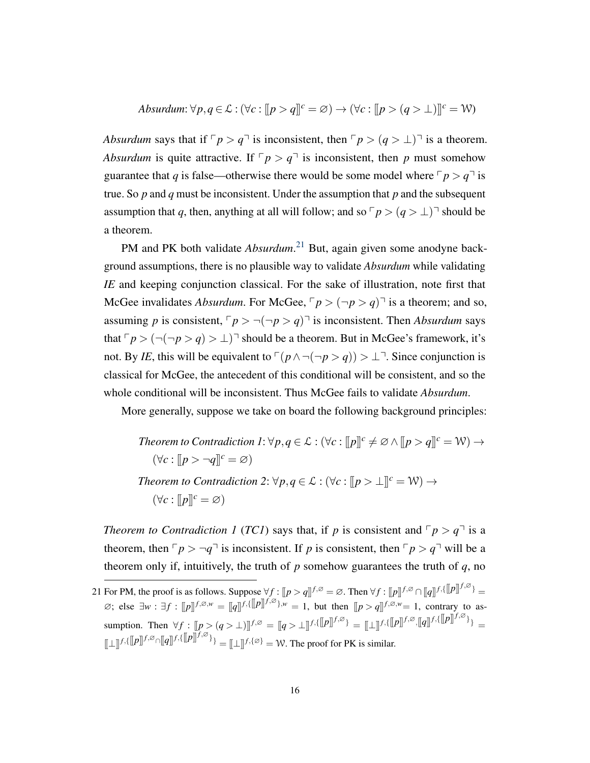$$
Absurdum: \forall p, q \in \mathcal{L}: (\forall c: [[p > q]]^{c} = \varnothing) \rightarrow (\forall c: [[p > (q > \bot)]]^{c} = \mathcal{W})
$$

*Absurdum* says that if  $\lceil p \rceil q$  is inconsistent, then  $\lceil p \rceil (q > 1)$  is a theorem. *Absurdum* is quite attractive. If  $\lceil p \rceil q$  is inconsistent, then *p* must somehow guarantee that *q* is false—otherwise there would be some model where  $\lceil p \rceil$  is true. So *p* and *q* must be inconsistent. Under the assumption that *p* and the subsequent assumption that *q*, then, anything at all will follow; and so  $\lceil p \rceil$  *q* >  $\perp$ ) $\lceil$  should be a theorem.

PM and PK both validate *Absurdum*. [21](#page-0-0) But, again given some anodyne background assumptions, there is no plausible way to validate *Absurdum* while validating *IE* and keeping conjunction classical. For the sake of illustration, note first that McGee invalidates *Absurdum*. For McGee,  $\lceil p \rceil$   $\sim$   $(\lnot p)$  is a theorem; and so, assuming *p* is consistent,  $\lceil p \rceil - (p \rceil - p)$  is inconsistent. Then *Absurdum* says that  $\lceil p \rceil - (p > q) > \perp$  should be a theorem. But in McGee's framework, it's not. By *IE*, this will be equivalent to  $(p \land \neg(\neg p > q)) > \bot$ <sup> $\exists$ </sup>. Since conjunction is classical for McGee, the antecedent of this conditional will be consistent, and so the whole conditional will be inconsistent. Thus McGee fails to validate *Absurdum*.

More generally, suppose we take on board the following background principles:

Theorem to Contradiction 
$$
I: \forall p, q \in \mathcal{L}: (\forall c: [[p]]^c \neq \emptyset \land [[p > q]]^c = \mathcal{W}) \rightarrow
$$
 $(\forall c: [[p > \neg q]]^c = \emptyset)$ \n\nTheorem to Contradiction  $2: \forall p, q \in \mathcal{L}: (\forall c: [[p > \bot]]^c = \mathcal{W}) \rightarrow$  $(\forall c: [[p]]^c = \emptyset)$ 

*Theorem to Contradiction 1 (TC1)* says that, if *p* is consistent and  $\lceil p \rceil q$  is a theorem, then  $\nabla p > \neg q$ <sup> $\neg$ </sup> is inconsistent. If *p* is consistent, then  $\nabla p > q$ <sup> $\neg$ </sup> will be a theorem only if, intuitively, the truth of  $p$  somehow guarantees the truth of  $q$ , no

<sup>21</sup> For PM, the proof is as follows. Suppose  $\forall f : [[p > q]]^{f, \varnothing} = \varnothing$ . Then  $\forall f : [[p]]^{f, \varnothing} \cap [[q]]^{f, \{\varnothing\}} = \varnothing$  $\emptyset$ ; else  $\exists w$ :  $\exists f$  :  $[[p]]^{f, \emptyset, w} = [[q]]^{f, \{[[p]]^{f, \emptyset}, w} = 1$ , but then  $[[p > q]]^{f, \emptyset, w} = 1$ , contrary to as- $\lim_{M \to \infty} \lim_{M \to \infty} \frac{d}{dx} \int_{0}^{M} [f(x)]^{M} dx = [q] \sum_{i=1}^{M} [f(x)]^{n} \cdot [q]^{n} \cdot [q]^{n} \cdot [q]^{n} \cdot [q]^{n} \cdot [q]^{n} \cdot [q]^{n} \cdot [q]^{n} \cdot [q]^{n} \cdot [q]^{n} \cdot [q]^{n} \cdot [q]^{n} \cdot [q]^{n} \cdot [q]^{n} \cdot [q]^{n} \cdot [q]^{n} \cdot [q]^{n} \cdot [q]^{n} \cdot [q]^{n} \cdot [q]^{n} \cdot [q$  $[\![\bot]\!]^{f, \emptyset} \cap [\![q]\!]^{f, \emptyset} = [\![\bot]\!]^{f, \{\emptyset\}} = \mathbb{W}$ . The proof for PK is similar.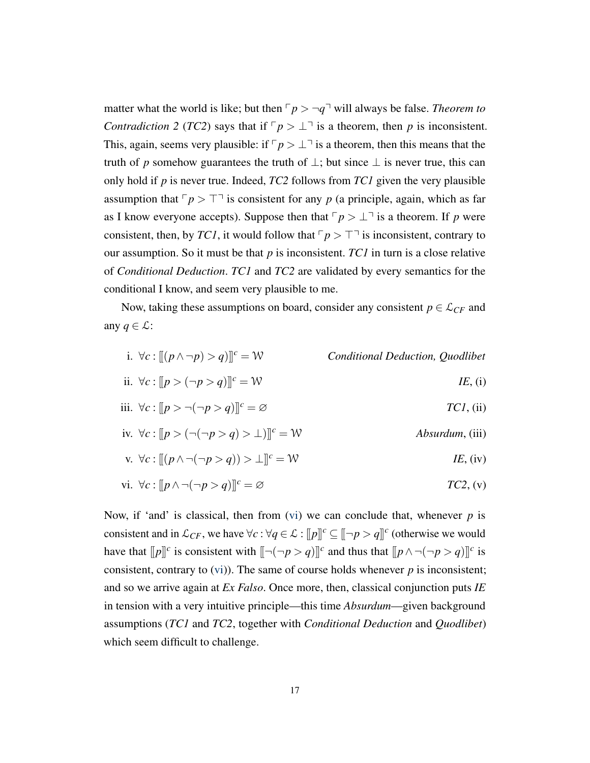matter what the world is like; but then  $\nabla p > \neg q$ <sup> $\neg$ </sup> will always be false. *Theorem to Contradiction 2 (TC2)* says that if  $\lceil p \rceil \leq \lceil p \rceil$  is a theorem, then *p* is inconsistent. This, again, seems very plausible: if  $\lceil p \rceil$  is a theorem, then this means that the truth of *p* somehow guarantees the truth of  $\perp$ ; but since  $\perp$  is never true, this can only hold if *p* is never true. Indeed, *TC2* follows from *TC1* given the very plausible assumption that  $\nabla p > \top$  is consistent for any *p* (a principle, again, which as far as I know everyone accepts). Suppose then that  $\lceil p \rceil \cdot \lfloor \frac{p}{p} \rfloor$  is a theorem. If *p* were consistent, then, by *TC1*, it would follow that  $\nabla p > \nabla^{\dagger}$  is inconsistent, contrary to our assumption. So it must be that *p* is inconsistent. *TC1* in turn is a close relative of *Conditional Deduction*. *TC1* and *TC2* are validated by every semantics for the conditional I know, and seem very plausible to me.

Now, taking these assumptions on board, consider any consistent  $p \in \mathcal{L}_{CF}$  and any  $q \in \mathcal{L}$ :

- i.  $∀c : [(p ∧ ¬p) > q)]<sup>c</sup> = W$  *Conditional Deduction, Quodlibet*
- ii. ∀*c* :  $[ |p > (¬p > q)] |^{c} = W$  *IE*, (i)
- iii. ∀*c* :  $[|p>¬(¬p>q)]$ <sup>c</sup> = ∅ *TC1*, (ii)
- iv.  $\forall c : [p > (\neg(\neg p > q) > \bot)]^c = \mathcal{W}$  *Absurdum*, (iii)

<span id="page-16-1"></span>v. 
$$
\forall c : [(p \land \neg(\neg p > q)) > \bot]^c = \mathcal{W}
$$
 IE, (iv)

<span id="page-16-0"></span>vi. 
$$
\forall c : [p \land \neg(\neg p > q)]]^c = \varnothing
$$
 *TC2*, (v)

Now, if 'and' is classical, then from [\(vi\)](#page-16-0) we can conclude that, whenever  $p$  is consistent and in  $\mathcal{L}_{CF}$ , we have  $\forall c : \forall q \in \mathcal{L} : [p]^c \subseteq [\neg p > q]^c$  (otherwise we would have that  $[ [p]]^c$  is consistent with  $[ [ \neg(\neg p > q) ] ]^c$  and thus that  $[ [p \land \neg(\neg p > q) ] ]^c$  is consistent, contrary to  $(vi)$ ). The same of course holds whenever  $p$  is inconsistent; and so we arrive again at *Ex Falso*. Once more, then, classical conjunction puts *IE* in tension with a very intuitive principle—this time *Absurdum*—given background assumptions (*TC1* and *TC2*, together with *Conditional Deduction* and *Quodlibet*) which seem difficult to challenge.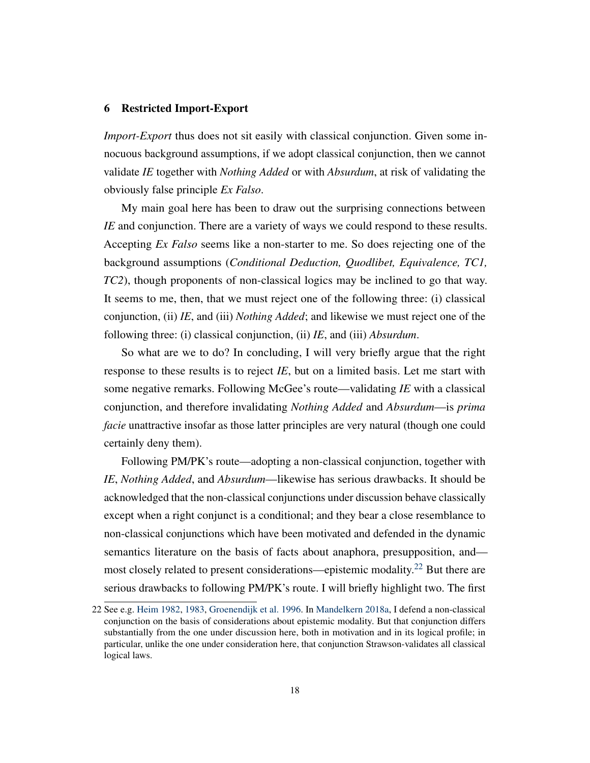# <span id="page-17-0"></span>6 Restricted Import-Export

*Import-Export* thus does not sit easily with classical conjunction. Given some innocuous background assumptions, if we adopt classical conjunction, then we cannot validate *IE* together with *Nothing Added* or with *Absurdum*, at risk of validating the obviously false principle *Ex Falso*.

My main goal here has been to draw out the surprising connections between *IE* and conjunction. There are a variety of ways we could respond to these results. Accepting *Ex Falso* seems like a non-starter to me. So does rejecting one of the background assumptions (*Conditional Deduction, Quodlibet, Equivalence, TC1, TC2*), though proponents of non-classical logics may be inclined to go that way. It seems to me, then, that we must reject one of the following three: (i) classical conjunction, (ii) *IE*, and (iii) *Nothing Added*; and likewise we must reject one of the following three: (i) classical conjunction, (ii) *IE*, and (iii) *Absurdum*.

So what are we to do? In concluding, I will very briefly argue that the right response to these results is to reject *IE*, but on a limited basis. Let me start with some negative remarks. Following McGee's route—validating *IE* with a classical conjunction, and therefore invalidating *Nothing Added* and *Absurdum*—is *prima facie* unattractive insofar as those latter principles are very natural (though one could certainly deny them).

Following PM/PK's route—adopting a non-classical conjunction, together with *IE*, *Nothing Added*, and *Absurdum*—likewise has serious drawbacks. It should be acknowledged that the non-classical conjunctions under discussion behave classically except when a right conjunct is a conditional; and they bear a close resemblance to non-classical conjunctions which have been motivated and defended in the dynamic semantics literature on the basis of facts about anaphora, presupposition, and— most closely related to present considerations—epistemic modality.<sup>[22](#page-0-0)</sup> But there are serious drawbacks to following PM/PK's route. I will briefly highlight two. The first

<sup>22</sup> See e.g. [Heim](#page-25-14) [1982,](#page-25-14) [1983,](#page-25-15) [Groenendijk et al.](#page-25-16) [1996.](#page-25-16) In [Mandelkern](#page-25-17) [2018a,](#page-25-17) I defend a non-classical conjunction on the basis of considerations about epistemic modality. But that conjunction differs substantially from the one under discussion here, both in motivation and in its logical profile; in particular, unlike the one under consideration here, that conjunction Strawson-validates all classical logical laws.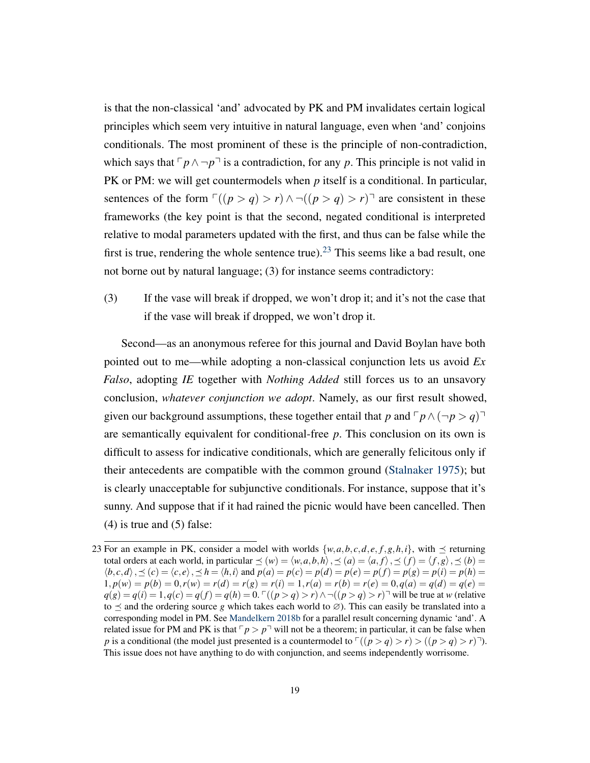is that the non-classical 'and' advocated by PK and PM invalidates certain logical principles which seem very intuitive in natural language, even when 'and' conjoins conditionals. The most prominent of these is the principle of non-contradiction, which says that  $\lceil p \wedge \neg p \rceil$  is a contradiction, for any *p*. This principle is not valid in PK or PM: we will get countermodels when *p* itself is a conditional. In particular, sentences of the form  $\Gamma((p > q) > r) \land \neg((p > q) > r)$ <sup> $\top$ </sup> are consistent in these frameworks (the key point is that the second, negated conditional is interpreted relative to modal parameters updated with the first, and thus can be false while the first is true, rendering the whole sentence true).<sup>[23](#page-0-0)</sup> This seems like a bad result, one not borne out by natural language; (3) for instance seems contradictory:

(3) If the vase will break if dropped, we won't drop it; and it's not the case that if the vase will break if dropped, we won't drop it.

Second—as an anonymous referee for this journal and David Boylan have both pointed out to me—while adopting a non-classical conjunction lets us avoid *Ex Falso*, adopting *IE* together with *Nothing Added* still forces us to an unsavory conclusion, *whatever conjunction we adopt*. Namely, as our first result showed, given our background assumptions, these together entail that *p* and  $\lceil p \wedge (\neg p > q) \rceil$ are semantically equivalent for conditional-free *p*. This conclusion on its own is difficult to assess for indicative conditionals, which are generally felicitous only if their antecedents are compatible with the common ground [\(Stalnaker](#page-26-1) [1975\)](#page-26-1); but is clearly unacceptable for subjunctive conditionals. For instance, suppose that it's sunny. And suppose that if it had rained the picnic would have been cancelled. Then  $(4)$  is true and  $(5)$  false:

<sup>23</sup> For an example in PK, consider a model with worlds  $\{w, a, b, c, d, e, f, g, h, i\}$ , with  $\preceq$  returning total orders at each world, in particular  $\leq (w) = \langle w, a, b, h \rangle$ ,  $\leq (a) = \langle a, f \rangle$ ,  $\leq (f) = \langle f, g \rangle$ ,  $\leq (b) =$  $\langle b, c, d \rangle$ ,  $\preceq$   $(c) = \langle c, e \rangle$ ,  $\preceq$   $h = \langle h, i \rangle$  and  $p(a) = p(c) = p(d) = p(e) = p(f) = p(g) = p(i) = p(h) =$  $1, p(w) = p(b) = 0, r(w) = r(d) = r(g) = r(i) = 1, r(a) = r(b) = r(e) = 0, q(a) = q(d) = q(e) =$ *q*(*g*) = *q*(*i*) = 1,*q*(*c*) = *q*(*f*) = *q*(*h*) = 0. <sup>Γ</sup>((*p* > *q*) > *r*)∧ ¬((*p* > *q*) > *r*)<sup>¬</sup> will be true at *w* (relative to  $\leq$  and the ordering source *g* which takes each world to  $\emptyset$ ). This can easily be translated into a corresponding model in PM. See [Mandelkern](#page-25-18) [2018b](#page-25-18) for a parallel result concerning dynamic 'and'. A related issue for PM and PK is that  $\sqrt{p}$  *p*<sup> $-$ </sup> will not be a theorem; in particular, it can be false when *p* is a conditional (the model just presented is a countermodel to  $\Gamma((p > q) > r) > ((p > q) > r)^{-1}$ ). This issue does not have anything to do with conjunction, and seems independently worrisome.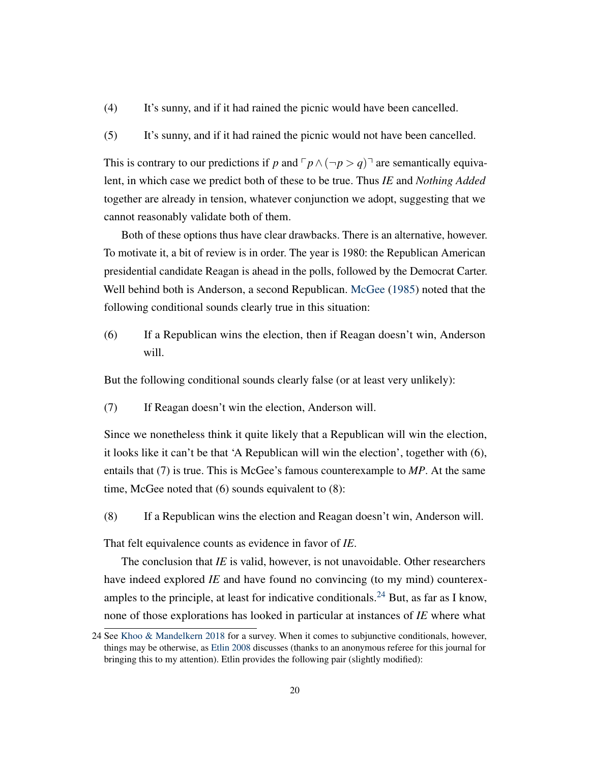- (4) It's sunny, and if it had rained the picnic would have been cancelled.
- (5) It's sunny, and if it had rained the picnic would not have been cancelled.

This is contrary to our predictions if *p* and  $\lceil p \wedge (\neg p > q) \rceil$  are semantically equivalent, in which case we predict both of these to be true. Thus *IE* and *Nothing Added* together are already in tension, whatever conjunction we adopt, suggesting that we cannot reasonably validate both of them.

Both of these options thus have clear drawbacks. There is an alternative, however. To motivate it, a bit of review is in order. The year is 1980: the Republican American presidential candidate Reagan is ahead in the polls, followed by the Democrat Carter. Well behind both is Anderson, a second Republican. [McGee](#page-25-1) [\(1985\)](#page-25-1) noted that the following conditional sounds clearly true in this situation:

(6) If a Republican wins the election, then if Reagan doesn't win, Anderson will.

But the following conditional sounds clearly false (or at least very unlikely):

(7) If Reagan doesn't win the election, Anderson will.

Since we nonetheless think it quite likely that a Republican will win the election, it looks like it can't be that 'A Republican will win the election', together with (6), entails that (7) is true. This is McGee's famous counterexample to *MP*. At the same time, McGee noted that (6) sounds equivalent to (8):

<span id="page-19-0"></span>(8) If a Republican wins the election and Reagan doesn't win, Anderson will.

That felt equivalence counts as evidence in favor of *IE*.

The conclusion that *IE* is valid, however, is not unavoidable. Other researchers have indeed explored *IE* and have found no convincing (to my mind) counterex-amples to the principle, at least for indicative conditionals.<sup>[24](#page-0-0)</sup> But, as far as I know, none of those explorations has looked in particular at instances of *IE* where what

<span id="page-19-1"></span><sup>24</sup> See [Khoo & Mandelkern](#page-25-4) [2018](#page-25-4) for a survey. When it comes to subjunctive conditionals, however, things may be otherwise, as [Etlin](#page-24-0) [2008](#page-24-0) discusses (thanks to an anonymous referee for this journal for bringing this to my attention). Etlin provides the following pair (slightly modified):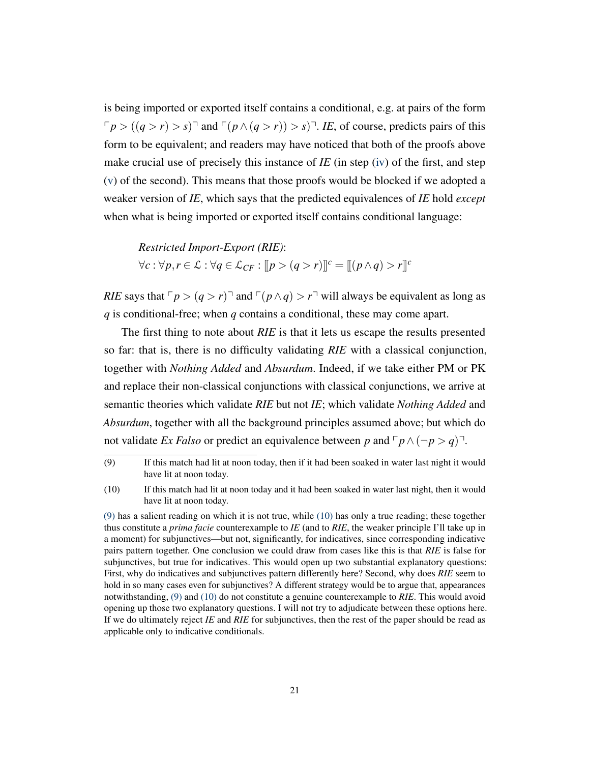is being imported or exported itself contains a conditional, e.g. at pairs of the form  $\nabla p$  >  $((q > r) > s)$ <sup> $\exists$ </sup> and  $\nabla (p \land (q > r)) > s$  $\nabla$ . *IE*, of course, predicts pairs of this form to be equivalent; and readers may have noticed that both of the proofs above make crucial use of precisely this instance of *IE* (in step [\(iv\)](#page-14-1) of the first, and step [\(v\)](#page-16-1) of the second). This means that those proofs would be blocked if we adopted a weaker version of *IE*, which says that the predicted equivalences of *IE* hold *except* when what is being imported or exported itself contains conditional language:

*Restricted Import-Export (RIE)*: *∀c* :  $\forall p, r \in \mathcal{L}$  :  $\forall q \in \mathcal{L}_{CF}$  :  $[\![p > (q > r)]\!]^c = [\![(p \land q) > r]\!]^c$ 

*RIE* says that  $\lceil p \rceil (q > r)$  and  $\lceil (p \land q) \rceil r$  will always be equivalent as long as *q* is conditional-free; when *q* contains a conditional, these may come apart.

The first thing to note about *RIE* is that it lets us escape the results presented so far: that is, there is no difficulty validating *RIE* with a classical conjunction, together with *Nothing Added* and *Absurdum*. Indeed, if we take either PM or PK and replace their non-classical conjunctions with classical conjunctions, we arrive at semantic theories which validate *RIE* but not *IE*; which validate *Nothing Added* and *Absurdum*, together with all the background principles assumed above; but which do not validate *Ex Falso* or predict an equivalence between *p* and  $\lceil p \wedge (\neg p > q) \rceil$ .

<sup>(9)</sup> If this match had lit at noon today, then if it had been soaked in water last night it would have lit at noon today.

<span id="page-20-0"></span><sup>(10)</sup> If this match had lit at noon today and it had been soaked in water last night, then it would have lit at noon today.

[<sup>\(9\)</sup>](#page-19-1) has a salient reading on which it is not true, while [\(10\)](#page-20-0) has only a true reading; these together thus constitute a *prima facie* counterexample to *IE* (and to *RIE*, the weaker principle I'll take up in a moment) for subjunctives—but not, significantly, for indicatives, since corresponding indicative pairs pattern together. One conclusion we could draw from cases like this is that *RIE* is false for subjunctives, but true for indicatives. This would open up two substantial explanatory questions: First, why do indicatives and subjunctives pattern differently here? Second, why does *RIE* seem to hold in so many cases even for subjunctives? A different strategy would be to argue that, appearances notwithstanding, [\(9\)](#page-19-1) and [\(10\)](#page-20-0) do not constitute a genuine counterexample to *RIE*. This would avoid opening up those two explanatory questions. I will not try to adjudicate between these options here. If we do ultimately reject *IE* and *RIE* for subjunctives, then the rest of the paper should be read as applicable only to indicative conditionals.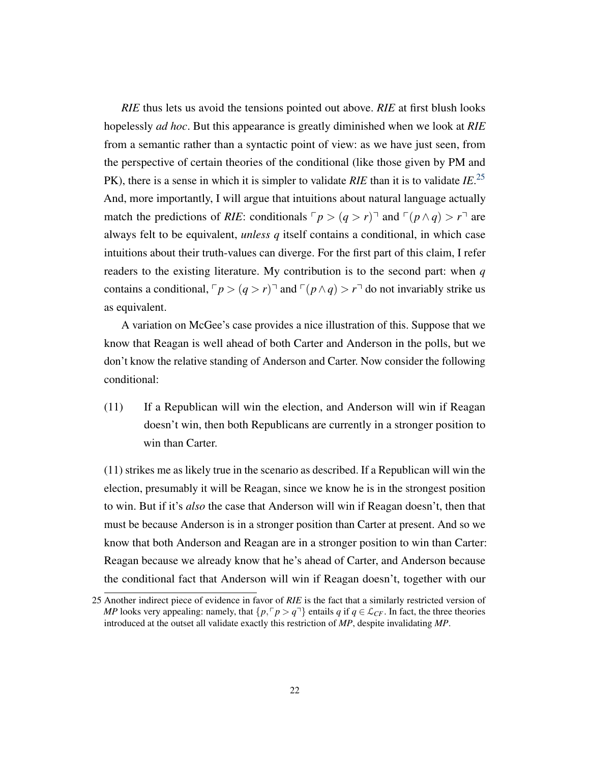*RIE* thus lets us avoid the tensions pointed out above. *RIE* at first blush looks hopelessly *ad hoc*. But this appearance is greatly diminished when we look at *RIE* from a semantic rather than a syntactic point of view: as we have just seen, from the perspective of certain theories of the conditional (like those given by PM and PK), there is a sense in which it is simpler to validate *RIE* than it is to validate *IE*. [25](#page-0-0) And, more importantly, I will argue that intuitions about natural language actually match the predictions of *RIE*: conditionals  $\lceil p \rceil (q > r) \rceil$  and  $\lceil (p \land q) \rceil \lceil r \rceil$  are always felt to be equivalent, *unless q* itself contains a conditional, in which case intuitions about their truth-values can diverge. For the first part of this claim, I refer readers to the existing literature. My contribution is to the second part: when *q* contains a conditional,  $\lceil p \rceil (q > r)$  and  $\lceil (p \land q) \rceil (q \land q)$  and invariably strike us as equivalent.

A variation on McGee's case provides a nice illustration of this. Suppose that we know that Reagan is well ahead of both Carter and Anderson in the polls, but we don't know the relative standing of Anderson and Carter. Now consider the following conditional:

<span id="page-21-0"></span>(11) If a Republican will win the election, and Anderson will win if Reagan doesn't win, then both Republicans are currently in a stronger position to win than Carter.

(11) strikes me as likely true in the scenario as described. If a Republican will win the election, presumably it will be Reagan, since we know he is in the strongest position to win. But if it's *also* the case that Anderson will win if Reagan doesn't, then that must be because Anderson is in a stronger position than Carter at present. And so we know that both Anderson and Reagan are in a stronger position to win than Carter: Reagan because we already know that he's ahead of Carter, and Anderson because the conditional fact that Anderson will win if Reagan doesn't, together with our

<sup>25</sup> Another indirect piece of evidence in favor of *RIE* is the fact that a similarly restricted version of *MP* looks very appealing: namely, that  $\{p, \lceil p \rceil \}$  entails *q* if  $q \in \mathcal{L}_{CF}$ . In fact, the three theories introduced at the outset all validate exactly this restriction of *MP*, despite invalidating *MP*.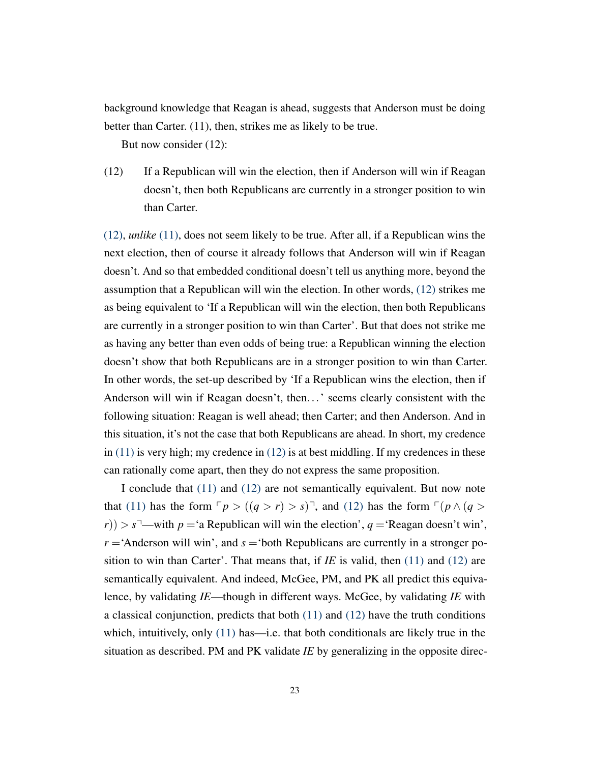background knowledge that Reagan is ahead, suggests that Anderson must be doing better than Carter. (11), then, strikes me as likely to be true.

But now consider (12):

<span id="page-22-0"></span>(12) If a Republican will win the election, then if Anderson will win if Reagan doesn't, then both Republicans are currently in a stronger position to win than Carter.

[\(12\),](#page-22-0) *unlike* [\(11\),](#page-21-0) does not seem likely to be true. After all, if a Republican wins the next election, then of course it already follows that Anderson will win if Reagan doesn't. And so that embedded conditional doesn't tell us anything more, beyond the assumption that a Republican will win the election. In other words, [\(12\)](#page-22-0) strikes me as being equivalent to 'If a Republican will win the election, then both Republicans are currently in a stronger position to win than Carter'. But that does not strike me as having any better than even odds of being true: a Republican winning the election doesn't show that both Republicans are in a stronger position to win than Carter. In other words, the set-up described by 'If a Republican wins the election, then if Anderson will win if Reagan doesn't, then...' seems clearly consistent with the following situation: Reagan is well ahead; then Carter; and then Anderson. And in this situation, it's not the case that both Republicans are ahead. In short, my credence in [\(11\)](#page-21-0) is very high; my credence in [\(12\)](#page-22-0) is at best middling. If my credences in these can rationally come apart, then they do not express the same proposition.

I conclude that [\(11\)](#page-21-0) and [\(12\)](#page-22-0) are not semantically equivalent. But now note that [\(11\)](#page-21-0) has the form  $\lceil p \rceil (q > r) > s \rceil$ , and [\(12\)](#page-22-0) has the form  $\lceil (p \wedge (q > r)) \rceil$  $(r)$ ) >  $s^7$ —with  $p =$ 'a Republican will win the election',  $q =$ 'Reagan doesn't win',  $r =$ 'Anderson will win', and  $s =$ 'both Republicans are currently in a stronger position to win than Carter'. That means that, if  $IE$  is valid, then  $(11)$  and  $(12)$  are semantically equivalent. And indeed, McGee, PM, and PK all predict this equivalence, by validating *IE*—though in different ways. McGee, by validating *IE* with a classical conjunction, predicts that both [\(11\)](#page-21-0) and [\(12\)](#page-22-0) have the truth conditions which, intuitively, only  $(11)$  has—i.e. that both conditionals are likely true in the situation as described. PM and PK validate *IE* by generalizing in the opposite direc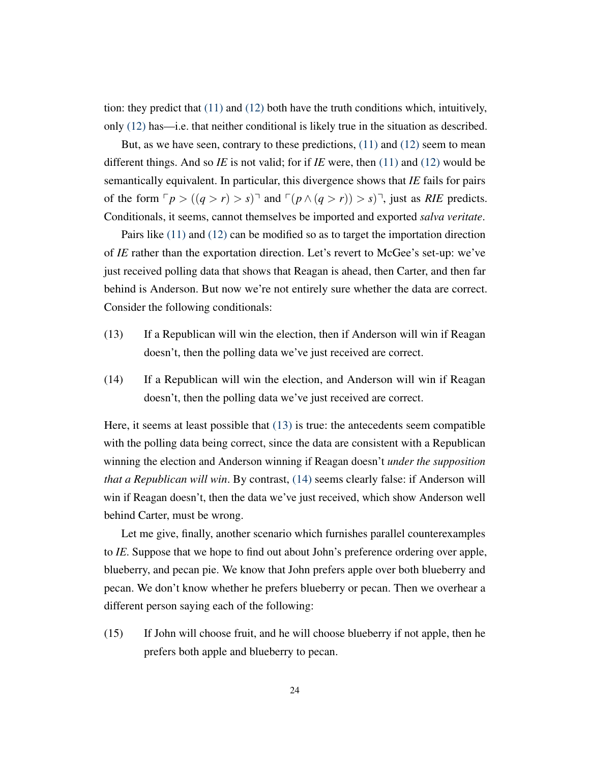tion: they predict that [\(11\)](#page-21-0) and [\(12\)](#page-22-0) both have the truth conditions which, intuitively, only [\(12\)](#page-22-0) has—i.e. that neither conditional is likely true in the situation as described.

But, as we have seen, contrary to these predictions,  $(11)$  and  $(12)$  seem to mean different things. And so *IE* is not valid; for if *IE* were, then [\(11\)](#page-21-0) and [\(12\)](#page-22-0) would be semantically equivalent. In particular, this divergence shows that *IE* fails for pairs of the form  $\nabla p > ((q > r) > s)$  and  $\nabla (p \wedge (q > r)) > s$ , just as *RIE* predicts. Conditionals, it seems, cannot themselves be imported and exported *salva veritate*.

Pairs like [\(11\)](#page-21-0) and [\(12\)](#page-22-0) can be modified so as to target the importation direction of *IE* rather than the exportation direction. Let's revert to McGee's set-up: we've just received polling data that shows that Reagan is ahead, then Carter, and then far behind is Anderson. But now we're not entirely sure whether the data are correct. Consider the following conditionals:

- <span id="page-23-0"></span>(13) If a Republican will win the election, then if Anderson will win if Reagan doesn't, then the polling data we've just received are correct.
- <span id="page-23-1"></span>(14) If a Republican will win the election, and Anderson will win if Reagan doesn't, then the polling data we've just received are correct.

Here, it seems at least possible that [\(13\)](#page-23-0) is true: the antecedents seem compatible with the polling data being correct, since the data are consistent with a Republican winning the election and Anderson winning if Reagan doesn't *under the supposition that a Republican will win*. By contrast, [\(14\)](#page-23-1) seems clearly false: if Anderson will win if Reagan doesn't, then the data we've just received, which show Anderson well behind Carter, must be wrong.

Let me give, finally, another scenario which furnishes parallel counterexamples to *IE*. Suppose that we hope to find out about John's preference ordering over apple, blueberry, and pecan pie. We know that John prefers apple over both blueberry and pecan. We don't know whether he prefers blueberry or pecan. Then we overhear a different person saying each of the following:

<span id="page-23-3"></span><span id="page-23-2"></span>(15) If John will choose fruit, and he will choose blueberry if not apple, then he prefers both apple and blueberry to pecan.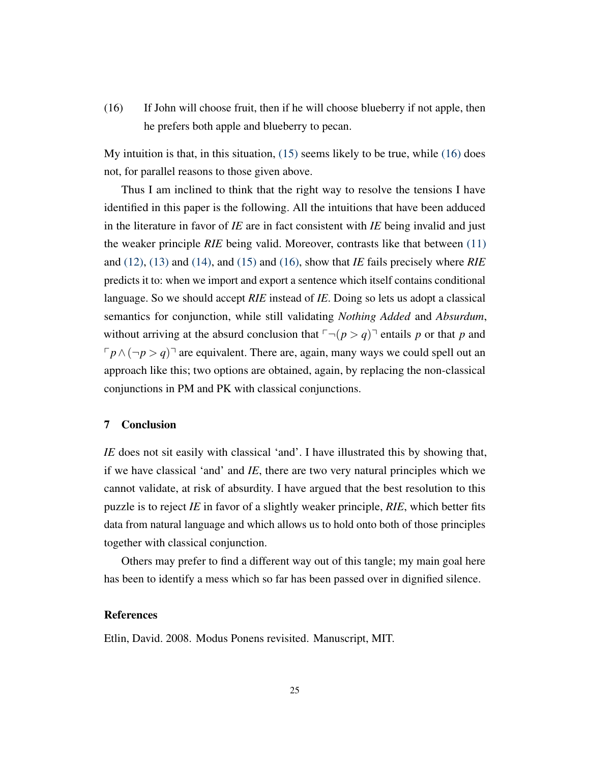(16) If John will choose fruit, then if he will choose blueberry if not apple, then he prefers both apple and blueberry to pecan.

My intuition is that, in this situation, [\(15\)](#page-23-2) seems likely to be true, while [\(16\)](#page-23-3) does not, for parallel reasons to those given above.

Thus I am inclined to think that the right way to resolve the tensions I have identified in this paper is the following. All the intuitions that have been adduced in the literature in favor of *IE* are in fact consistent with *IE* being invalid and just the weaker principle *RIE* being valid. Moreover, contrasts like that between [\(11\)](#page-21-0) and [\(12\),](#page-22-0) [\(13\)](#page-23-0) and [\(14\),](#page-23-1) and [\(15\)](#page-23-2) and [\(16\),](#page-23-3) show that *IE* fails precisely where *RIE* predicts it to: when we import and export a sentence which itself contains conditional language. So we should accept *RIE* instead of *IE*. Doing so lets us adopt a classical semantics for conjunction, while still validating *Nothing Added* and *Absurdum*, without arriving at the absurd conclusion that  $\lceil \neg (p > q) \rceil$  entails p or that p and  $\lceil p \wedge (\neg p \neg p) \rceil$  are equivalent. There are, again, many ways we could spell out an approach like this; two options are obtained, again, by replacing the non-classical conjunctions in PM and PK with classical conjunctions.

# 7 Conclusion

*IE* does not sit easily with classical 'and'. I have illustrated this by showing that, if we have classical 'and' and *IE*, there are two very natural principles which we cannot validate, at risk of absurdity. I have argued that the best resolution to this puzzle is to reject *IE* in favor of a slightly weaker principle, *RIE*, which better fits data from natural language and which allows us to hold onto both of those principles together with classical conjunction.

Others may prefer to find a different way out of this tangle; my main goal here has been to identify a mess which so far has been passed over in dignified silence.

# References

<span id="page-24-0"></span>Etlin, David. 2008. Modus Ponens revisited. Manuscript, MIT.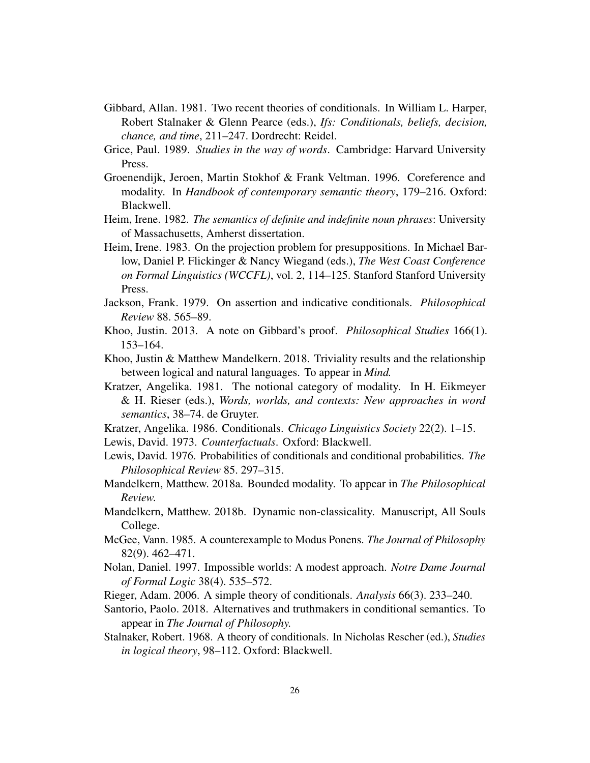- <span id="page-25-0"></span>Gibbard, Allan. 1981. Two recent theories of conditionals. In William L. Harper, Robert Stalnaker & Glenn Pearce (eds.), *Ifs: Conditionals, beliefs, decision, chance, and time*, 211–247. Dordrecht: Reidel.
- <span id="page-25-7"></span>Grice, Paul. 1989. *Studies in the way of words*. Cambridge: Harvard University Press.
- <span id="page-25-16"></span>Groenendijk, Jeroen, Martin Stokhof & Frank Veltman. 1996. Coreference and modality. In *Handbook of contemporary semantic theory*, 179–216. Oxford: Blackwell.
- <span id="page-25-14"></span>Heim, Irene. 1982. *The semantics of definite and indefinite noun phrases*: University of Massachusetts, Amherst dissertation.
- <span id="page-25-15"></span>Heim, Irene. 1983. On the projection problem for presuppositions. In Michael Barlow, Daniel P. Flickinger & Nancy Wiegand (eds.), *The West Coast Conference on Formal Linguistics (WCCFL)*, vol. 2, 114–125. Stanford Stanford University Press.
- <span id="page-25-6"></span>Jackson, Frank. 1979. On assertion and indicative conditionals. *Philosophical Review* 88. 565–89.
- <span id="page-25-2"></span>Khoo, Justin. 2013. A note on Gibbard's proof. *Philosophical Studies* 166(1). 153–164.
- <span id="page-25-4"></span>Khoo, Justin & Matthew Mandelkern. 2018. Triviality results and the relationship between logical and natural languages. To appear in *Mind*.
- <span id="page-25-11"></span>Kratzer, Angelika. 1981. The notional category of modality. In H. Eikmeyer & H. Rieser (eds.), *Words, worlds, and contexts: New approaches in word semantics*, 38–74. de Gruyter.
- <span id="page-25-10"></span>Kratzer, Angelika. 1986. Conditionals. *Chicago Linguistics Society* 22(2). 1–15.
- <span id="page-25-12"></span>Lewis, David. 1973. *Counterfactuals*. Oxford: Blackwell.
- <span id="page-25-5"></span>Lewis, David. 1976. Probabilities of conditionals and conditional probabilities. *The Philosophical Review* 85. 297–315.
- <span id="page-25-17"></span>Mandelkern, Matthew. 2018a. Bounded modality. To appear in *The Philosophical Review*.
- <span id="page-25-18"></span>Mandelkern, Matthew. 2018b. Dynamic non-classicality. Manuscript, All Souls College.
- <span id="page-25-1"></span>McGee, Vann. 1985. A counterexample to Modus Ponens. *The Journal of Philosophy* 82(9). 462–471.
- <span id="page-25-3"></span>Nolan, Daniel. 1997. Impossible worlds: A modest approach. *Notre Dame Journal of Formal Logic* 38(4). 535–572.
- <span id="page-25-8"></span>Rieger, Adam. 2006. A simple theory of conditionals. *Analysis* 66(3). 233–240.
- <span id="page-25-13"></span>Santorio, Paolo. 2018. Alternatives and truthmakers in conditional semantics. To appear in *The Journal of Philosophy*.
- <span id="page-25-9"></span>Stalnaker, Robert. 1968. A theory of conditionals. In Nicholas Rescher (ed.), *Studies in logical theory*, 98–112. Oxford: Blackwell.